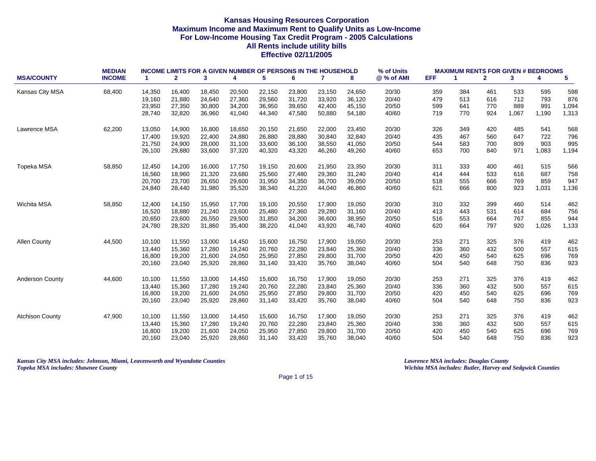|                        | <b>MEDIAN</b> |                      | <b>INCOME LIMITS FOR A GIVEN NUMBER OF PERSONS IN THE HOUSEHOLD</b> |        |        |        |        |        |        | % of Units |            | <b>MAXIMUM RENTS FOR GIVEN # BEDROOMS</b> |              |       |       |                 |
|------------------------|---------------|----------------------|---------------------------------------------------------------------|--------|--------|--------|--------|--------|--------|------------|------------|-------------------------------------------|--------------|-------|-------|-----------------|
| <b>MSA/COUNTY</b>      | <b>INCOME</b> | $\blacktriangleleft$ | $\mathbf{2}$                                                        | 3      | 4      | 5      | 6      | 7      | 8      | @ % of AMI | <b>EFF</b> | 1                                         | $\mathbf{2}$ | 3     | 4     | $5\phantom{.0}$ |
| Kansas City MSA        | 68,400        | 14,350               | 16,400                                                              | 18,450 | 20,500 | 22,150 | 23,800 | 23,150 | 24,650 | 20/30      | 359        | 384                                       | 461          | 533   | 595   | 598             |
|                        |               | 19,160               | 21,880                                                              | 24,640 | 27,360 | 29,560 | 31,720 | 33,920 | 36,120 | 20/40      | 479        | 513                                       | 616          | 712   | 793   | 876             |
|                        |               | 23,950               | 27,350                                                              | 30,800 | 34,200 | 36,950 | 39,650 | 42,400 | 45,150 | 20/50      | 599        | 641                                       | 770          | 889   | 991   | 1,094           |
|                        |               | 28,740               | 32,820                                                              | 36,960 | 41,040 | 44,340 | 47,580 | 50,880 | 54,180 | 40/60      | 719        | 770                                       | 924          | 1,067 | 1,190 | 1,313           |
| Lawrence MSA           | 62,200        | 13,050               | 14,900                                                              | 16,800 | 18,650 | 20,150 | 21,650 | 22,000 | 23,450 | 20/30      | 326        | 349                                       | 420          | 485   | 541   | 568             |
|                        |               | 17,400               | 19,920                                                              | 22,400 | 24,880 | 26,880 | 28,880 | 30,840 | 32,840 | 20/40      | 435        | 467                                       | 560          | 647   | 722   | 796             |
|                        |               | 21,750               | 24,900                                                              | 28,000 | 31,100 | 33,600 | 36,100 | 38,550 | 41,050 | 20/50      | 544        | 583                                       | 700          | 809   | 903   | 995             |
|                        |               | 26,100               | 29,880                                                              | 33,600 | 37,320 | 40,320 | 43,320 | 46,260 | 49,260 | 40/60      | 653        | 700                                       | 840          | 971   | 1,083 | 1,194           |
| Topeka MSA             | 58,850        | 12,450               | 14,200                                                              | 16,000 | 17,750 | 19,150 | 20,600 | 21,950 | 23,350 | 20/30      | 311        | 333                                       | 400          | 461   | 515   | 566             |
|                        |               | 16,560               | 18,960                                                              | 21,320 | 23,680 | 25,560 | 27,480 | 29,360 | 31,240 | 20/40      | 414        | 444                                       | 533          | 616   | 687   | 758             |
|                        |               | 20,700               | 23,700                                                              | 26.650 | 29.600 | 31.950 | 34,350 | 36,700 | 39,050 | 20/50      | 518        | 555                                       | 666          | 769   | 859   | 947             |
|                        |               | 24,840               | 28,440                                                              | 31,980 | 35,520 | 38,340 | 41,220 | 44,040 | 46,860 | 40/60      | 621        | 666                                       | 800          | 923   | 1,031 | 1,136           |
| Wichita MSA            | 58,850        | 12,400               | 14,150                                                              | 15,950 | 17,700 | 19,100 | 20,550 | 17,900 | 19,050 | 20/30      | 310        | 332                                       | 399          | 460   | 514   | 462             |
|                        |               | 16,520               | 18,880                                                              | 21,240 | 23,600 | 25,480 | 27,360 | 29,280 | 31,160 | 20/40      | 413        | 443                                       | 531          | 614   | 684   | 756             |
|                        |               | 20,650               | 23,600                                                              | 26,550 | 29,500 | 31,850 | 34,200 | 36,600 | 38,950 | 20/50      | 516        | 553                                       | 664          | 767   | 855   | 944             |
|                        |               | 24,780               | 28,320                                                              | 31,860 | 35,400 | 38,220 | 41,040 | 43,920 | 46,740 | 40/60      | 620        | 664                                       | 797          | 920   | 1,026 | 1,133           |
| <b>Allen County</b>    | 44,500        | 10,100               | 11,550                                                              | 13,000 | 14,450 | 15,600 | 16,750 | 17,900 | 19,050 | 20/30      | 253        | 271                                       | 325          | 376   | 419   | 462             |
|                        |               | 13,440               | 15,360                                                              | 17,280 | 19,240 | 20,760 | 22,280 | 23,840 | 25,360 | 20/40      | 336        | 360                                       | 432          | 500   | 557   | 615             |
|                        |               | 16,800               | 19,200                                                              | 21,600 | 24,050 | 25,950 | 27,850 | 29,800 | 31,700 | 20/50      | 420        | 450                                       | 540          | 625   | 696   | 769             |
|                        |               | 20,160               | 23,040                                                              | 25,920 | 28,860 | 31,140 | 33,420 | 35,760 | 38,040 | 40/60      | 504        | 540                                       | 648          | 750   | 836   | 923             |
| <b>Anderson County</b> | 44,600        | 10,100               | 11,550                                                              | 13,000 | 14,450 | 15,600 | 16,750 | 17,900 | 19,050 | 20/30      | 253        | 271                                       | 325          | 376   | 419   | 462             |
|                        |               | 13,440               | 15,360                                                              | 17,280 | 19,240 | 20,760 | 22,280 | 23,840 | 25,360 | 20/40      | 336        | 360                                       | 432          | 500   | 557   | 615             |
|                        |               | 16,800               | 19,200                                                              | 21,600 | 24,050 | 25,950 | 27,850 | 29,800 | 31,700 | 20/50      | 420        | 450                                       | 540          | 625   | 696   | 769             |
|                        |               | 20,160               | 23,040                                                              | 25,920 | 28,860 | 31,140 | 33,420 | 35,760 | 38,040 | 40/60      | 504        | 540                                       | 648          | 750   | 836   | 923             |
| <b>Atchison County</b> | 47,900        | 10,100               | 11,550                                                              | 13,000 | 14,450 | 15,600 | 16,750 | 17,900 | 19,050 | 20/30      | 253        | 271                                       | 325          | 376   | 419   | 462             |
|                        |               | 13,440               | 15,360                                                              | 17,280 | 19,240 | 20,760 | 22,280 | 23,840 | 25,360 | 20/40      | 336        | 360                                       | 432          | 500   | 557   | 615             |
|                        |               | 16,800               | 19,200                                                              | 21,600 | 24,050 | 25,950 | 27,850 | 29,800 | 31,700 | 20/50      | 420        | 450                                       | 540          | 625   | 696   | 769             |
|                        |               | 20,160               | 23,040                                                              | 25,920 | 28,860 | 31,140 | 33,420 | 35,760 | 38,040 | 40/60      | 504        | 540                                       | 648          | 750   | 836   | 923             |

*Kansas City MSA includes: Johnson, Miami, Leavenworth and Wyandotte Counties Lawrence MSA includes: Douglas County Topeka MSA includes: Shawnee County Wichita MSA includes: Butler, Harvey and Sedgwick Counties*

Page 1 of 15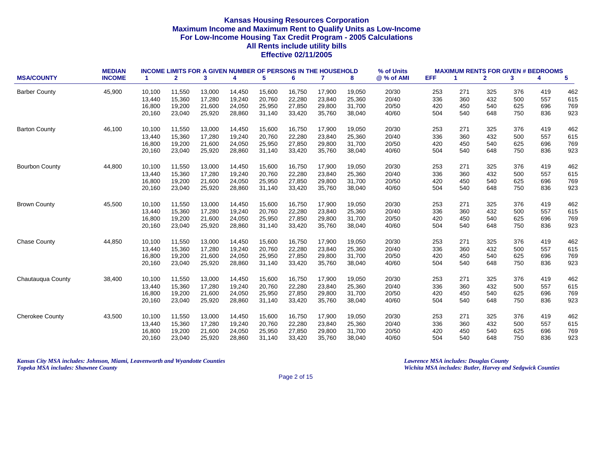|                        | <b>MEDIAN</b> |        |              | <b>INCOME LIMITS FOR A GIVEN NUMBER OF PERSONS IN THE HOUSEHOLD</b> |        |        |        |        |        | % of Units |            | <b>MAXIMUM RENTS FOR GIVEN # BEDROOMS</b> |              |     |     |                 |
|------------------------|---------------|--------|--------------|---------------------------------------------------------------------|--------|--------|--------|--------|--------|------------|------------|-------------------------------------------|--------------|-----|-----|-----------------|
| <b>MSA/COUNTY</b>      | <b>INCOME</b> | -1.    | $\mathbf{2}$ | 3                                                                   | 4      | 5      | 6      | 7      | 8      | @ % of AMI | <b>EFF</b> | 1                                         | $\mathbf{2}$ | 3   | 4   | $5\phantom{.0}$ |
| <b>Barber County</b>   | 45,900        | 10,100 | 11,550       | 13,000                                                              | 14,450 | 15,600 | 16,750 | 17,900 | 19,050 | 20/30      | 253        | 271                                       | 325          | 376 | 419 | 462             |
|                        |               | 13,440 | 15,360       | 17,280                                                              | 19,240 | 20,760 | 22,280 | 23,840 | 25,360 | 20/40      | 336        | 360                                       | 432          | 500 | 557 | 615             |
|                        |               | 16,800 | 19,200       | 21,600                                                              | 24,050 | 25,950 | 27,850 | 29,800 | 31,700 | 20/50      | 420        | 450                                       | 540          | 625 | 696 | 769             |
|                        |               | 20,160 | 23,040       | 25,920                                                              | 28,860 | 31,140 | 33,420 | 35,760 | 38,040 | 40/60      | 504        | 540                                       | 648          | 750 | 836 | 923             |
| <b>Barton County</b>   | 46,100        | 10,100 | 11,550       | 13,000                                                              | 14,450 | 15,600 | 16,750 | 17,900 | 19,050 | 20/30      | 253        | 271                                       | 325          | 376 | 419 | 462             |
|                        |               | 13,440 | 15,360       | 17,280                                                              | 19,240 | 20,760 | 22,280 | 23,840 | 25,360 | 20/40      | 336        | 360                                       | 432          | 500 | 557 | 615             |
|                        |               | 16,800 | 19,200       | 21,600                                                              | 24,050 | 25,950 | 27,850 | 29,800 | 31,700 | 20/50      | 420        | 450                                       | 540          | 625 | 696 | 769             |
|                        |               | 20,160 | 23,040       | 25,920                                                              | 28,860 | 31,140 | 33,420 | 35,760 | 38,040 | 40/60      | 504        | 540                                       | 648          | 750 | 836 | 923             |
| <b>Bourbon County</b>  | 44,800        | 10,100 | 11,550       | 13,000                                                              | 14,450 | 15,600 | 16,750 | 17,900 | 19,050 | 20/30      | 253        | 271                                       | 325          | 376 | 419 | 462             |
|                        |               | 13,440 | 15,360       | 17,280                                                              | 19,240 | 20,760 | 22,280 | 23,840 | 25,360 | 20/40      | 336        | 360                                       | 432          | 500 | 557 | 615             |
|                        |               | 16,800 | 19,200       | 21,600                                                              | 24.050 | 25,950 | 27,850 | 29.800 | 31,700 | 20/50      | 420        | 450                                       | 540          | 625 | 696 | 769             |
|                        |               | 20,160 | 23,040       | 25,920                                                              | 28,860 | 31,140 | 33,420 | 35,760 | 38,040 | 40/60      | 504        | 540                                       | 648          | 750 | 836 | 923             |
| <b>Brown County</b>    | 45,500        | 10,100 | 11,550       | 13,000                                                              | 14,450 | 15,600 | 16,750 | 17,900 | 19,050 | 20/30      | 253        | 271                                       | 325          | 376 | 419 | 462             |
|                        |               | 13,440 | 15,360       | 17,280                                                              | 19,240 | 20,760 | 22,280 | 23,840 | 25,360 | 20/40      | 336        | 360                                       | 432          | 500 | 557 | 615             |
|                        |               | 16,800 | 19,200       | 21,600                                                              | 24,050 | 25,950 | 27,850 | 29,800 | 31,700 | 20/50      | 420        | 450                                       | 540          | 625 | 696 | 769             |
|                        |               | 20,160 | 23,040       | 25,920                                                              | 28,860 | 31,140 | 33,420 | 35,760 | 38,040 | 40/60      | 504        | 540                                       | 648          | 750 | 836 | 923             |
| <b>Chase County</b>    | 44,850        | 10,100 | 11,550       | 13,000                                                              | 14,450 | 15,600 | 16,750 | 17,900 | 19,050 | 20/30      | 253        | 271                                       | 325          | 376 | 419 | 462             |
|                        |               | 13,440 | 15,360       | 17,280                                                              | 19,240 | 20,760 | 22,280 | 23,840 | 25,360 | 20/40      | 336        | 360                                       | 432          | 500 | 557 | 615             |
|                        |               | 16,800 | 19,200       | 21,600                                                              | 24,050 | 25,950 | 27,850 | 29,800 | 31,700 | 20/50      | 420        | 450                                       | 540          | 625 | 696 | 769             |
|                        |               | 20,160 | 23,040       | 25,920                                                              | 28,860 | 31,140 | 33,420 | 35,760 | 38,040 | 40/60      | 504        | 540                                       | 648          | 750 | 836 | 923             |
| Chautauqua County      | 38,400        | 10,100 | 11,550       | 13,000                                                              | 14,450 | 15,600 | 16,750 | 17,900 | 19,050 | 20/30      | 253        | 271                                       | 325          | 376 | 419 | 462             |
|                        |               | 13,440 | 15,360       | 17,280                                                              | 19,240 | 20,760 | 22,280 | 23,840 | 25,360 | 20/40      | 336        | 360                                       | 432          | 500 | 557 | 615             |
|                        |               | 16,800 | 19,200       | 21,600                                                              | 24,050 | 25,950 | 27,850 | 29,800 | 31,700 | 20/50      | 420        | 450                                       | 540          | 625 | 696 | 769             |
|                        |               | 20,160 | 23,040       | 25,920                                                              | 28,860 | 31,140 | 33,420 | 35,760 | 38,040 | 40/60      | 504        | 540                                       | 648          | 750 | 836 | 923             |
| <b>Cherokee County</b> | 43,500        | 10,100 | 11,550       | 13,000                                                              | 14,450 | 15,600 | 16,750 | 17,900 | 19,050 | 20/30      | 253        | 271                                       | 325          | 376 | 419 | 462             |
|                        |               | 13,440 | 15,360       | 17,280                                                              | 19,240 | 20,760 | 22,280 | 23,840 | 25,360 | 20/40      | 336        | 360                                       | 432          | 500 | 557 | 615             |
|                        |               | 16,800 | 19,200       | 21,600                                                              | 24,050 | 25,950 | 27,850 | 29,800 | 31,700 | 20/50      | 420        | 450                                       | 540          | 625 | 696 | 769             |
|                        |               | 20,160 | 23,040       | 25,920                                                              | 28,860 | 31,140 | 33,420 | 35,760 | 38,040 | 40/60      | 504        | 540                                       | 648          | 750 | 836 | 923             |

*Kansas City MSA includes: Johnson, Miami, Leavenworth and Wyandotte Counties Lawrence MSA includes: Douglas County Topeka MSA includes: Shawnee County Wichita MSA includes: Butler, Harvey and Sedgwick Counties*

Page 2 of 15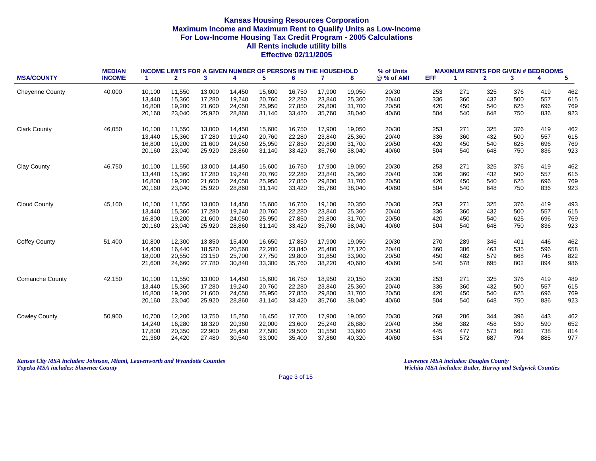|                        | <b>MEDIAN</b> |        | <b>INCOME LIMITS FOR A GIVEN NUMBER OF PERSONS IN THE HOUSEHOLD</b> |        |        |        |        |              |        | % of Units |            | <b>MAXIMUM RENTS FOR GIVEN # BEDROOMS</b> |              |     |     |                         |
|------------------------|---------------|--------|---------------------------------------------------------------------|--------|--------|--------|--------|--------------|--------|------------|------------|-------------------------------------------|--------------|-----|-----|-------------------------|
| <b>MSA/COUNTY</b>      | <b>INCOME</b> | -1     | $\mathbf{2}$                                                        | 3      | 4      | 5      | 6      | $\mathbf{7}$ | 8      | @ % of AMI | <b>EFF</b> | -1                                        | $\mathbf{2}$ | 3   | 4   | $\overline{\mathbf{5}}$ |
| <b>Cheyenne County</b> | 40,000        | 10,100 | 11,550                                                              | 13,000 | 14,450 | 15,600 | 16,750 | 17,900       | 19,050 | 20/30      | 253        | 271                                       | 325          | 376 | 419 | 462                     |
|                        |               | 13,440 | 15,360                                                              | 17,280 | 19.240 | 20.760 | 22,280 | 23,840       | 25,360 | 20/40      | 336        | 360                                       | 432          | 500 | 557 | 615                     |
|                        |               | 16,800 | 19,200                                                              | 21,600 | 24,050 | 25,950 | 27,850 | 29,800       | 31,700 | 20/50      | 420        | 450                                       | 540          | 625 | 696 | 769                     |
|                        |               | 20,160 | 23,040                                                              | 25,920 | 28,860 | 31,140 | 33,420 | 35,760       | 38,040 | 40/60      | 504        | 540                                       | 648          | 750 | 836 | 923                     |
| <b>Clark County</b>    | 46,050        | 10,100 | 11,550                                                              | 13,000 | 14,450 | 15,600 | 16,750 | 17,900       | 19,050 | 20/30      | 253        | 271                                       | 325          | 376 | 419 | 462                     |
|                        |               | 13,440 | 15,360                                                              | 17,280 | 19,240 | 20,760 | 22,280 | 23,840       | 25,360 | 20/40      | 336        | 360                                       | 432          | 500 | 557 | 615                     |
|                        |               | 16,800 | 19,200                                                              | 21,600 | 24,050 | 25,950 | 27,850 | 29,800       | 31,700 | 20/50      | 420        | 450                                       | 540          | 625 | 696 | 769                     |
|                        |               | 20,160 | 23,040                                                              | 25,920 | 28,860 | 31,140 | 33,420 | 35,760       | 38,040 | 40/60      | 504        | 540                                       | 648          | 750 | 836 | 923                     |
| <b>Clay County</b>     | 46,750        | 10,100 | 11,550                                                              | 13,000 | 14,450 | 15,600 | 16,750 | 17,900       | 19,050 | 20/30      | 253        | 271                                       | 325          | 376 | 419 | 462                     |
|                        |               | 13,440 | 15,360                                                              | 17,280 | 19,240 | 20,760 | 22,280 | 23,840       | 25,360 | 20/40      | 336        | 360                                       | 432          | 500 | 557 | 615                     |
|                        |               | 16,800 | 19,200                                                              | 21,600 | 24,050 | 25,950 | 27,850 | 29,800       | 31,700 | 20/50      | 420        | 450                                       | 540          | 625 | 696 | 769                     |
|                        |               | 20,160 | 23,040                                                              | 25,920 | 28,860 | 31,140 | 33,420 | 35,760       | 38,040 | 40/60      | 504        | 540                                       | 648          | 750 | 836 | 923                     |
| <b>Cloud County</b>    | 45,100        | 10,100 | 11,550                                                              | 13,000 | 14,450 | 15,600 | 16,750 | 19,100       | 20,350 | 20/30      | 253        | 271                                       | 325          | 376 | 419 | 493                     |
|                        |               | 13,440 | 15,360                                                              | 17,280 | 19,240 | 20,760 | 22,280 | 23,840       | 25,360 | 20/40      | 336        | 360                                       | 432          | 500 | 557 | 615                     |
|                        |               | 16,800 | 19,200                                                              | 21,600 | 24,050 | 25,950 | 27,850 | 29,800       | 31,700 | 20/50      | 420        | 450                                       | 540          | 625 | 696 | 769                     |
|                        |               | 20,160 | 23,040                                                              | 25,920 | 28,860 | 31,140 | 33,420 | 35,760       | 38,040 | 40/60      | 504        | 540                                       | 648          | 750 | 836 | 923                     |
| <b>Coffey County</b>   | 51,400        | 10,800 | 12,300                                                              | 13,850 | 15,400 | 16,650 | 17,850 | 17,900       | 19,050 | 20/30      | 270        | 289                                       | 346          | 401 | 446 | 462                     |
|                        |               | 14,400 | 16,440                                                              | 18,520 | 20,560 | 22,200 | 23,840 | 25,480       | 27,120 | 20/40      | 360        | 386                                       | 463          | 535 | 596 | 658                     |
|                        |               | 18,000 | 20,550                                                              | 23,150 | 25,700 | 27,750 | 29,800 | 31,850       | 33,900 | 20/50      | 450        | 482                                       | 579          | 668 | 745 | 822                     |
|                        |               | 21,600 | 24,660                                                              | 27,780 | 30,840 | 33,300 | 35,760 | 38,220       | 40,680 | 40/60      | 540        | 578                                       | 695          | 802 | 894 | 986                     |
| <b>Comanche County</b> | 42,150        | 10,100 | 11,550                                                              | 13,000 | 14,450 | 15,600 | 16,750 | 18,950       | 20,150 | 20/30      | 253        | 271                                       | 325          | 376 | 419 | 489                     |
|                        |               | 13,440 | 15,360                                                              | 17,280 | 19,240 | 20,760 | 22,280 | 23,840       | 25,360 | 20/40      | 336        | 360                                       | 432          | 500 | 557 | 615                     |
|                        |               | 16,800 | 19,200                                                              | 21,600 | 24,050 | 25,950 | 27,850 | 29,800       | 31,700 | 20/50      | 420        | 450                                       | 540          | 625 | 696 | 769                     |
|                        |               | 20,160 | 23,040                                                              | 25,920 | 28,860 | 31,140 | 33,420 | 35,760       | 38,040 | 40/60      | 504        | 540                                       | 648          | 750 | 836 | 923                     |
| <b>Cowley County</b>   | 50,900        | 10,700 | 12,200                                                              | 13,750 | 15,250 | 16,450 | 17,700 | 17,900       | 19,050 | 20/30      | 268        | 286                                       | 344          | 396 | 443 | 462                     |
|                        |               | 14,240 | 16,280                                                              | 18,320 | 20,360 | 22,000 | 23,600 | 25,240       | 26,880 | 20/40      | 356        | 382                                       | 458          | 530 | 590 | 652                     |
|                        |               | 17,800 | 20,350                                                              | 22,900 | 25,450 | 27,500 | 29,500 | 31,550       | 33,600 | 20/50      | 445        | 477                                       | 573          | 662 | 738 | 814                     |
|                        |               | 21,360 | 24,420                                                              | 27,480 | 30,540 | 33,000 | 35,400 | 37,860       | 40,320 | 40/60      | 534        | 572                                       | 687          | 794 | 885 | 977                     |

*Kansas City MSA includes: Johnson, Miami, Leavenworth and Wyandotte Counties Lawrence MSA includes: Douglas County Topeka MSA includes: Shawnee County Wichita MSA includes: Butler, Harvey and Sedgwick Counties*

Page 3 of 15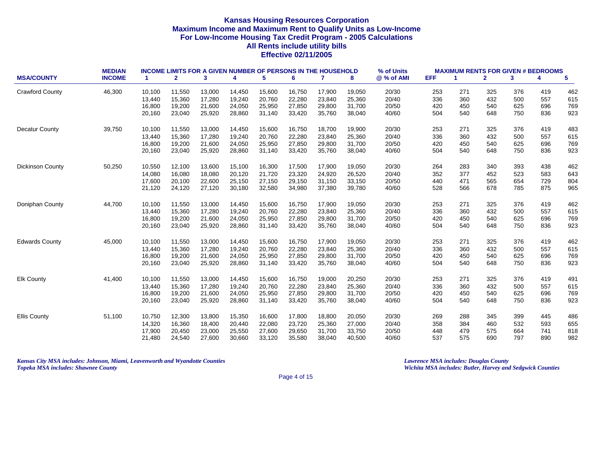|                         | <b>MEDIAN</b> |        |              |        |        |        | <b>INCOME LIMITS FOR A GIVEN NUMBER OF PERSONS IN THE HOUSEHOLD</b> |              |        | % of Units |            |     | <b>MAXIMUM RENTS FOR GIVEN # BEDROOMS</b> |     |     |     |
|-------------------------|---------------|--------|--------------|--------|--------|--------|---------------------------------------------------------------------|--------------|--------|------------|------------|-----|-------------------------------------------|-----|-----|-----|
| <b>MSA/COUNTY</b>       | <b>INCOME</b> | -1     | $\mathbf{2}$ | 3      | 4      | 5      | 6                                                                   | $\mathbf{7}$ | 8      | @ % of AMI | <b>EFF</b> | 1   | $\mathbf{2}$                              | 3   | 4   | 5   |
| <b>Crawford County</b>  | 46,300        | 10.100 | 11,550       | 13,000 | 14,450 | 15,600 | 16,750                                                              | 17,900       | 19,050 | 20/30      | 253        | 271 | 325                                       | 376 | 419 | 462 |
|                         |               | 13,440 | 15,360       | 17,280 | 19,240 | 20,760 | 22,280                                                              | 23,840       | 25,360 | 20/40      | 336        | 360 | 432                                       | 500 | 557 | 615 |
|                         |               | 16,800 | 19,200       | 21,600 | 24,050 | 25,950 | 27,850                                                              | 29,800       | 31,700 | 20/50      | 420        | 450 | 540                                       | 625 | 696 | 769 |
|                         |               | 20,160 | 23,040       | 25,920 | 28,860 | 31,140 | 33,420                                                              | 35,760       | 38,040 | 40/60      | 504        | 540 | 648                                       | 750 | 836 | 923 |
| <b>Decatur County</b>   | 39,750        | 10,100 | 11,550       | 13,000 | 14,450 | 15,600 | 16,750                                                              | 18,700       | 19,900 | 20/30      | 253        | 271 | 325                                       | 376 | 419 | 483 |
|                         |               | 13,440 | 15,360       | 17,280 | 19,240 | 20,760 | 22,280                                                              | 23,840       | 25,360 | 20/40      | 336        | 360 | 432                                       | 500 | 557 | 615 |
|                         |               | 16,800 | 19,200       | 21,600 | 24,050 | 25,950 | 27,850                                                              | 29,800       | 31,700 | 20/50      | 420        | 450 | 540                                       | 625 | 696 | 769 |
|                         |               | 20,160 | 23,040       | 25,920 | 28,860 | 31,140 | 33,420                                                              | 35,760       | 38,040 | 40/60      | 504        | 540 | 648                                       | 750 | 836 | 923 |
| <b>Dickinson County</b> | 50,250        | 10,550 | 12,100       | 13,600 | 15,100 | 16,300 | 17,500                                                              | 17,900       | 19,050 | 20/30      | 264        | 283 | 340                                       | 393 | 438 | 462 |
|                         |               | 14,080 | 16,080       | 18,080 | 20,120 | 21,720 | 23,320                                                              | 24,920       | 26,520 | 20/40      | 352        | 377 | 452                                       | 523 | 583 | 643 |
|                         |               | 17,600 | 20,100       | 22,600 | 25,150 | 27,150 | 29,150                                                              | 31,150       | 33,150 | 20/50      | 440        | 471 | 565                                       | 654 | 729 | 804 |
|                         |               | 21,120 | 24,120       | 27,120 | 30,180 | 32,580 | 34,980                                                              | 37,380       | 39,780 | 40/60      | 528        | 566 | 678                                       | 785 | 875 | 965 |
| Doniphan County         | 44,700        | 10,100 | 11,550       | 13,000 | 14,450 | 15,600 | 16,750                                                              | 17,900       | 19,050 | 20/30      | 253        | 271 | 325                                       | 376 | 419 | 462 |
|                         |               | 13,440 | 15,360       | 17,280 | 19,240 | 20,760 | 22.280                                                              | 23,840       | 25,360 | 20/40      | 336        | 360 | 432                                       | 500 | 557 | 615 |
|                         |               | 16,800 | 19,200       | 21,600 | 24,050 | 25,950 | 27,850                                                              | 29,800       | 31,700 | 20/50      | 420        | 450 | 540                                       | 625 | 696 | 769 |
|                         |               | 20,160 | 23,040       | 25,920 | 28,860 | 31,140 | 33,420                                                              | 35,760       | 38,040 | 40/60      | 504        | 540 | 648                                       | 750 | 836 | 923 |
| <b>Edwards County</b>   | 45,000        | 10,100 | 11,550       | 13,000 | 14,450 | 15,600 | 16,750                                                              | 17,900       | 19,050 | 20/30      | 253        | 271 | 325                                       | 376 | 419 | 462 |
|                         |               | 13,440 | 15,360       | 17,280 | 19,240 | 20,760 | 22,280                                                              | 23,840       | 25,360 | 20/40      | 336        | 360 | 432                                       | 500 | 557 | 615 |
|                         |               | 16,800 | 19,200       | 21,600 | 24,050 | 25,950 | 27,850                                                              | 29,800       | 31,700 | 20/50      | 420        | 450 | 540                                       | 625 | 696 | 769 |
|                         |               | 20,160 | 23,040       | 25,920 | 28,860 | 31,140 | 33,420                                                              | 35,760       | 38,040 | 40/60      | 504        | 540 | 648                                       | 750 | 836 | 923 |
| <b>Elk County</b>       | 41,400        | 10,100 | 11,550       | 13,000 | 14,450 | 15,600 | 16,750                                                              | 19,000       | 20,250 | 20/30      | 253        | 271 | 325                                       | 376 | 419 | 491 |
|                         |               | 13,440 | 15,360       | 17,280 | 19,240 | 20,760 | 22,280                                                              | 23,840       | 25,360 | 20/40      | 336        | 360 | 432                                       | 500 | 557 | 615 |
|                         |               | 16,800 | 19,200       | 21,600 | 24,050 | 25,950 | 27,850                                                              | 29,800       | 31,700 | 20/50      | 420        | 450 | 540                                       | 625 | 696 | 769 |
|                         |               | 20,160 | 23,040       | 25,920 | 28,860 | 31,140 | 33,420                                                              | 35,760       | 38,040 | 40/60      | 504        | 540 | 648                                       | 750 | 836 | 923 |
| <b>Ellis County</b>     | 51,100        | 10,750 | 12,300       | 13,800 | 15,350 | 16,600 | 17,800                                                              | 18,800       | 20,050 | 20/30      | 269        | 288 | 345                                       | 399 | 445 | 486 |
|                         |               | 14,320 | 16,360       | 18,400 | 20,440 | 22,080 | 23,720                                                              | 25,360       | 27,000 | 20/40      | 358        | 384 | 460                                       | 532 | 593 | 655 |
|                         |               | 17,900 | 20,450       | 23,000 | 25,550 | 27,600 | 29,650                                                              | 31,700       | 33,750 | 20/50      | 448        | 479 | 575                                       | 664 | 741 | 818 |
|                         |               | 21,480 | 24,540       | 27,600 | 30,660 | 33,120 | 35,580                                                              | 38,040       | 40,500 | 40/60      | 537        | 575 | 690                                       | 797 | 890 | 982 |

*Kansas City MSA includes: Johnson, Miami, Leavenworth and Wyandotte Counties Lawrence MSA includes: Douglas County Topeka MSA includes: Shawnee County Wichita MSA includes: Butler, Harvey and Sedgwick Counties*

Page 4 of 15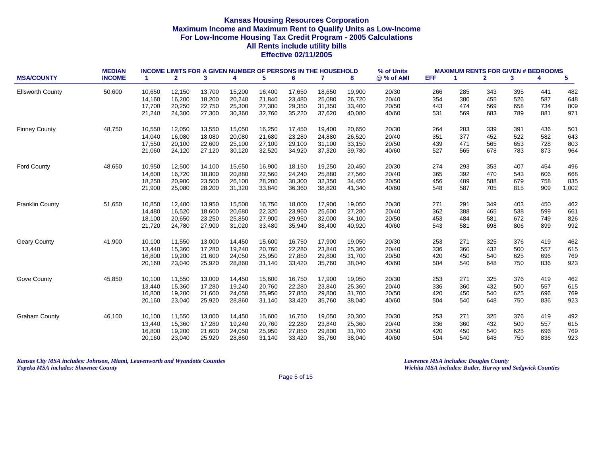|                         | <b>MEDIAN</b> |                      |              |        |        |        | <b>INCOME LIMITS FOR A GIVEN NUMBER OF PERSONS IN THE HOUSEHOLD</b> |        |        | % of Units |            | <b>MAXIMUM RENTS FOR GIVEN # BEDROOMS</b> |              |     |     |       |
|-------------------------|---------------|----------------------|--------------|--------|--------|--------|---------------------------------------------------------------------|--------|--------|------------|------------|-------------------------------------------|--------------|-----|-----|-------|
| <b>MSA/COUNTY</b>       | <b>INCOME</b> | $\blacktriangleleft$ | $\mathbf{2}$ | 3      | 4      | 5      | 6                                                                   | 7      | 8      | @ % of AMI | <b>EFF</b> | 1                                         | $\mathbf{2}$ | 3   | 4   | 5     |
| <b>Ellsworth County</b> | 50,600        | 10,650               | 12,150       | 13,700 | 15,200 | 16,400 | 17,650                                                              | 18,650 | 19,900 | 20/30      | 266        | 285                                       | 343          | 395 | 441 | 482   |
|                         |               | 14,160               | 16,200       | 18,200 | 20,240 | 21,840 | 23,480                                                              | 25,080 | 26,720 | 20/40      | 354        | 380                                       | 455          | 526 | 587 | 648   |
|                         |               | 17,700               | 20,250       | 22,750 | 25,300 | 27,300 | 29,350                                                              | 31,350 | 33,400 | 20/50      | 443        | 474                                       | 569          | 658 | 734 | 809   |
|                         |               | 21,240               | 24,300       | 27,300 | 30,360 | 32,760 | 35,220                                                              | 37,620 | 40,080 | 40/60      | 531        | 569                                       | 683          | 789 | 881 | 971   |
| <b>Finney County</b>    | 48,750        | 10,550               | 12,050       | 13,550 | 15,050 | 16,250 | 17,450                                                              | 19,400 | 20,650 | 20/30      | 264        | 283                                       | 339          | 391 | 436 | 501   |
|                         |               | 14,040               | 16,080       | 18,080 | 20,080 | 21,680 | 23,280                                                              | 24,880 | 26,520 | 20/40      | 351        | 377                                       | 452          | 522 | 582 | 643   |
|                         |               | 17,550               | 20,100       | 22,600 | 25,100 | 27,100 | 29,100                                                              | 31,100 | 33,150 | 20/50      | 439        | 471                                       | 565          | 653 | 728 | 803   |
|                         |               | 21,060               | 24,120       | 27,120 | 30,120 | 32,520 | 34,920                                                              | 37,320 | 39,780 | 40/60      | 527        | 565                                       | 678          | 783 | 873 | 964   |
| <b>Ford County</b>      | 48,650        | 10,950               | 12,500       | 14,100 | 15,650 | 16,900 | 18,150                                                              | 19,250 | 20,450 | 20/30      | 274        | 293                                       | 353          | 407 | 454 | 496   |
|                         |               | 14,600               | 16,720       | 18,800 | 20,880 | 22,560 | 24,240                                                              | 25,880 | 27,560 | 20/40      | 365        | 392                                       | 470          | 543 | 606 | 668   |
|                         |               | 18,250               | 20,900       | 23,500 | 26,100 | 28,200 | 30,300                                                              | 32,350 | 34,450 | 20/50      | 456        | 489                                       | 588          | 679 | 758 | 835   |
|                         |               | 21,900               | 25,080       | 28,200 | 31,320 | 33,840 | 36,360                                                              | 38,820 | 41,340 | 40/60      | 548        | 587                                       | 705          | 815 | 909 | 1,002 |
| <b>Franklin County</b>  | 51,650        | 10,850               | 12,400       | 13,950 | 15,500 | 16,750 | 18,000                                                              | 17,900 | 19,050 | 20/30      | 271        | 291                                       | 349          | 403 | 450 | 462   |
|                         |               | 14,480               | 16,520       | 18,600 | 20,680 | 22,320 | 23,960                                                              | 25,600 | 27,280 | 20/40      | 362        | 388                                       | 465          | 538 | 599 | 661   |
|                         |               | 18,100               | 20,650       | 23,250 | 25,850 | 27,900 | 29,950                                                              | 32,000 | 34,100 | 20/50      | 453        | 484                                       | 581          | 672 | 749 | 826   |
|                         |               | 21,720               | 24,780       | 27,900 | 31,020 | 33,480 | 35,940                                                              | 38,400 | 40,920 | 40/60      | 543        | 581                                       | 698          | 806 | 899 | 992   |
| <b>Geary County</b>     | 41,900        | 10,100               | 11,550       | 13,000 | 14,450 | 15,600 | 16,750                                                              | 17,900 | 19,050 | 20/30      | 253        | 271                                       | 325          | 376 | 419 | 462   |
|                         |               | 13,440               | 15,360       | 17,280 | 19,240 | 20,760 | 22,280                                                              | 23,840 | 25,360 | 20/40      | 336        | 360                                       | 432          | 500 | 557 | 615   |
|                         |               | 16,800               | 19,200       | 21,600 | 24,050 | 25,950 | 27,850                                                              | 29,800 | 31,700 | 20/50      | 420        | 450                                       | 540          | 625 | 696 | 769   |
|                         |               | 20,160               | 23,040       | 25,920 | 28,860 | 31,140 | 33,420                                                              | 35,760 | 38,040 | 40/60      | 504        | 540                                       | 648          | 750 | 836 | 923   |
| Gove County             | 45,850        | 10,100               | 11,550       | 13,000 | 14,450 | 15,600 | 16,750                                                              | 17,900 | 19,050 | 20/30      | 253        | 271                                       | 325          | 376 | 419 | 462   |
|                         |               | 13,440               | 15,360       | 17,280 | 19,240 | 20,760 | 22,280                                                              | 23,840 | 25,360 | 20/40      | 336        | 360                                       | 432          | 500 | 557 | 615   |
|                         |               | 16,800               | 19,200       | 21,600 | 24,050 | 25,950 | 27,850                                                              | 29,800 | 31,700 | 20/50      | 420        | 450                                       | 540          | 625 | 696 | 769   |
|                         |               | 20,160               | 23,040       | 25,920 | 28,860 | 31,140 | 33,420                                                              | 35,760 | 38,040 | 40/60      | 504        | 540                                       | 648          | 750 | 836 | 923   |
| <b>Graham County</b>    | 46,100        | 10,100               | 11,550       | 13,000 | 14,450 | 15,600 | 16,750                                                              | 19,050 | 20,300 | 20/30      | 253        | 271                                       | 325          | 376 | 419 | 492   |
|                         |               | 13,440               | 15,360       | 17,280 | 19,240 | 20,760 | 22,280                                                              | 23,840 | 25,360 | 20/40      | 336        | 360                                       | 432          | 500 | 557 | 615   |
|                         |               | 16,800               | 19,200       | 21,600 | 24,050 | 25,950 | 27,850                                                              | 29,800 | 31,700 | 20/50      | 420        | 450                                       | 540          | 625 | 696 | 769   |
|                         |               | 20,160               | 23,040       | 25,920 | 28,860 | 31,140 | 33,420                                                              | 35,760 | 38,040 | 40/60      | 504        | 540                                       | 648          | 750 | 836 | 923   |

*Kansas City MSA includes: Johnson, Miami, Leavenworth and Wyandotte Counties Lawrence MSA includes: Douglas County Topeka MSA includes: Shawnee County Wichita MSA includes: Butler, Harvey and Sedgwick Counties*

Page 5 of 15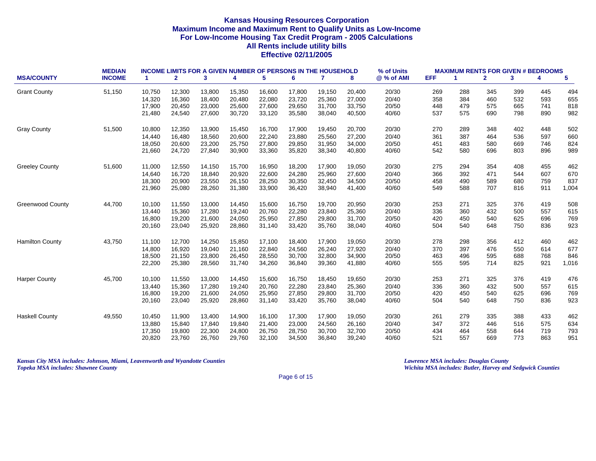|                         | <b>MEDIAN</b> |        | <b>INCOME LIMITS FOR A GIVEN NUMBER OF PERSONS IN THE HOUSEHOLD</b> |        |        |        |        |              |        | % of Units |            | <b>MAXIMUM RENTS FOR GIVEN # BEDROOMS</b> |              |     |     |                         |
|-------------------------|---------------|--------|---------------------------------------------------------------------|--------|--------|--------|--------|--------------|--------|------------|------------|-------------------------------------------|--------------|-----|-----|-------------------------|
| <b>MSA/COUNTY</b>       | <b>INCOME</b> | -1     | $\mathbf{2}$                                                        | 3      | 4      | 5      | 6      | $\mathbf{7}$ | 8      | @ % of AMI | <b>EFF</b> | -1                                        | $\mathbf{2}$ | 3   | 4   | $\overline{\mathbf{5}}$ |
| <b>Grant County</b>     | 51,150        | 10,750 | 12,300                                                              | 13,800 | 15,350 | 16,600 | 17,800 | 19,150       | 20,400 | 20/30      | 269        | 288                                       | 345          | 399 | 445 | 494                     |
|                         |               | 14,320 | 16,360                                                              | 18,400 | 20.480 | 22,080 | 23.720 | 25,360       | 27,000 | 20/40      | 358        | 384                                       | 460          | 532 | 593 | 655                     |
|                         |               | 17,900 | 20,450                                                              | 23,000 | 25,600 | 27,600 | 29,650 | 31,700       | 33,750 | 20/50      | 448        | 479                                       | 575          | 665 | 741 | 818                     |
|                         |               | 21,480 | 24,540                                                              | 27,600 | 30,720 | 33,120 | 35,580 | 38,040       | 40,500 | 40/60      | 537        | 575                                       | 690          | 798 | 890 | 982                     |
| <b>Gray County</b>      | 51,500        | 10,800 | 12,350                                                              | 13,900 | 15,450 | 16,700 | 17,900 | 19,450       | 20,700 | 20/30      | 270        | 289                                       | 348          | 402 | 448 | 502                     |
|                         |               | 14,440 | 16,480                                                              | 18,560 | 20,600 | 22,240 | 23,880 | 25,560       | 27,200 | 20/40      | 361        | 387                                       | 464          | 536 | 597 | 660                     |
|                         |               | 18,050 | 20,600                                                              | 23,200 | 25,750 | 27,800 | 29,850 | 31,950       | 34,000 | 20/50      | 451        | 483                                       | 580          | 669 | 746 | 824                     |
|                         |               | 21,660 | 24,720                                                              | 27,840 | 30,900 | 33,360 | 35,820 | 38,340       | 40,800 | 40/60      | 542        | 580                                       | 696          | 803 | 896 | 989                     |
| <b>Greeley County</b>   | 51,600        | 11,000 | 12,550                                                              | 14,150 | 15,700 | 16,950 | 18,200 | 17,900       | 19,050 | 20/30      | 275        | 294                                       | 354          | 408 | 455 | 462                     |
|                         |               | 14,640 | 16,720                                                              | 18,840 | 20,920 | 22,600 | 24,280 | 25,960       | 27,600 | 20/40      | 366        | 392                                       | 471          | 544 | 607 | 670                     |
|                         |               | 18,300 | 20,900                                                              | 23,550 | 26,150 | 28,250 | 30,350 | 32,450       | 34,500 | 20/50      | 458        | 490                                       | 589          | 680 | 759 | 837                     |
|                         |               | 21,960 | 25,080                                                              | 28,260 | 31,380 | 33,900 | 36,420 | 38,940       | 41,400 | 40/60      | 549        | 588                                       | 707          | 816 | 911 | 1,004                   |
| <b>Greenwood County</b> | 44,700        | 10,100 | 11,550                                                              | 13,000 | 14,450 | 15,600 | 16,750 | 19,700       | 20,950 | 20/30      | 253        | 271                                       | 325          | 376 | 419 | 508                     |
|                         |               | 13,440 | 15,360                                                              | 17,280 | 19,240 | 20,760 | 22,280 | 23,840       | 25,360 | 20/40      | 336        | 360                                       | 432          | 500 | 557 | 615                     |
|                         |               | 16,800 | 19,200                                                              | 21,600 | 24,050 | 25,950 | 27,850 | 29,800       | 31,700 | 20/50      | 420        | 450                                       | 540          | 625 | 696 | 769                     |
|                         |               | 20,160 | 23,040                                                              | 25,920 | 28,860 | 31,140 | 33,420 | 35,760       | 38,040 | 40/60      | 504        | 540                                       | 648          | 750 | 836 | 923                     |
| <b>Hamilton County</b>  | 43,750        | 11,100 | 12,700                                                              | 14,250 | 15,850 | 17,100 | 18,400 | 17,900       | 19,050 | 20/30      | 278        | 298                                       | 356          | 412 | 460 | 462                     |
|                         |               | 14,800 | 16,920                                                              | 19,040 | 21,160 | 22,840 | 24,560 | 26,240       | 27,920 | 20/40      | 370        | 397                                       | 476          | 550 | 614 | 677                     |
|                         |               | 18,500 | 21,150                                                              | 23,800 | 26,450 | 28,550 | 30,700 | 32,800       | 34,900 | 20/50      | 463        | 496                                       | 595          | 688 | 768 | 846                     |
|                         |               | 22,200 | 25,380                                                              | 28,560 | 31,740 | 34,260 | 36,840 | 39,360       | 41,880 | 40/60      | 555        | 595                                       | 714          | 825 | 921 | 1,016                   |
| <b>Harper County</b>    | 45,700        | 10,100 | 11,550                                                              | 13,000 | 14,450 | 15,600 | 16,750 | 18,450       | 19,650 | 20/30      | 253        | 271                                       | 325          | 376 | 419 | 476                     |
|                         |               | 13,440 | 15,360                                                              | 17,280 | 19,240 | 20,760 | 22,280 | 23,840       | 25,360 | 20/40      | 336        | 360                                       | 432          | 500 | 557 | 615                     |
|                         |               | 16,800 | 19,200                                                              | 21,600 | 24,050 | 25,950 | 27,850 | 29,800       | 31,700 | 20/50      | 420        | 450                                       | 540          | 625 | 696 | 769                     |
|                         |               | 20,160 | 23,040                                                              | 25,920 | 28,860 | 31,140 | 33,420 | 35,760       | 38,040 | 40/60      | 504        | 540                                       | 648          | 750 | 836 | 923                     |
| <b>Haskell County</b>   | 49,550        | 10,450 | 11,900                                                              | 13,400 | 14,900 | 16,100 | 17,300 | 17,900       | 19,050 | 20/30      | 261        | 279                                       | 335          | 388 | 433 | 462                     |
|                         |               | 13,880 | 15,840                                                              | 17,840 | 19,840 | 21,400 | 23,000 | 24,560       | 26,160 | 20/40      | 347        | 372                                       | 446          | 516 | 575 | 634                     |
|                         |               | 17,350 | 19,800                                                              | 22,300 | 24,800 | 26,750 | 28,750 | 30,700       | 32,700 | 20/50      | 434        | 464                                       | 558          | 644 | 719 | 793                     |
|                         |               | 20,820 | 23,760                                                              | 26,760 | 29,760 | 32,100 | 34,500 | 36,840       | 39,240 | 40/60      | 521        | 557                                       | 669          | 773 | 863 | 951                     |

*Kansas City MSA includes: Johnson, Miami, Leavenworth and Wyandotte Counties Lawrence MSA includes: Douglas County Topeka MSA includes: Shawnee County Wichita MSA includes: Butler, Harvey and Sedgwick Counties*

Page 6 of 15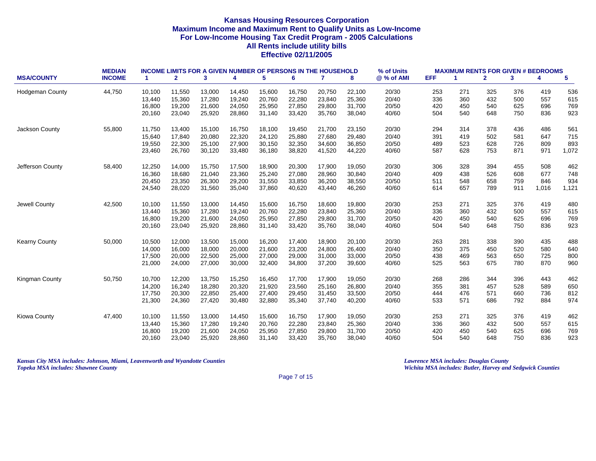|                        | <b>MEDIAN</b> |                      | <b>INCOME LIMITS FOR A GIVEN NUMBER OF PERSONS IN THE HOUSEHOLD</b> |        |        |        |        |              |        | % of Units |      | <b>MAXIMUM RENTS FOR GIVEN # BEDROOMS</b> |              |     |       |       |
|------------------------|---------------|----------------------|---------------------------------------------------------------------|--------|--------|--------|--------|--------------|--------|------------|------|-------------------------------------------|--------------|-----|-------|-------|
| <b>MSA/COUNTY</b>      | <b>INCOME</b> | $\blacktriangleleft$ | $\mathbf{2}$                                                        | 3      | 4      | 5      | 6      | $\mathbf{7}$ | 8      | @ % of AMI | EFF. | -1                                        | $\mathbf{2}$ | 3   | 4     | 5     |
| <b>Hodgeman County</b> | 44,750        | 10,100               | 11,550                                                              | 13,000 | 14,450 | 15,600 | 16,750 | 20,750       | 22,100 | 20/30      | 253  | 271                                       | 325          | 376 | 419   | 536   |
|                        |               | 13,440               | 15,360                                                              | 17,280 | 19,240 | 20,760 | 22,280 | 23,840       | 25,360 | 20/40      | 336  | 360                                       | 432          | 500 | 557   | 615   |
|                        |               | 16,800               | 19,200                                                              | 21,600 | 24,050 | 25,950 | 27,850 | 29,800       | 31,700 | 20/50      | 420  | 450                                       | 540          | 625 | 696   | 769   |
|                        |               | 20,160               | 23,040                                                              | 25,920 | 28,860 | 31,140 | 33,420 | 35,760       | 38,040 | 40/60      | 504  | 540                                       | 648          | 750 | 836   | 923   |
| Jackson County         | 55,800        | 11,750               | 13,400                                                              | 15,100 | 16,750 | 18,100 | 19,450 | 21,700       | 23,150 | 20/30      | 294  | 314                                       | 378          | 436 | 486   | 561   |
|                        |               | 15,640               | 17,840                                                              | 20,080 | 22,320 | 24,120 | 25,880 | 27,680       | 29,480 | 20/40      | 391  | 419                                       | 502          | 581 | 647   | 715   |
|                        |               | 19,550               | 22,300                                                              | 25,100 | 27,900 | 30,150 | 32,350 | 34,600       | 36,850 | 20/50      | 489  | 523                                       | 628          | 726 | 809   | 893   |
|                        |               | 23,460               | 26,760                                                              | 30,120 | 33,480 | 36,180 | 38,820 | 41,520       | 44,220 | 40/60      | 587  | 628                                       | 753          | 871 | 971   | 1,072 |
| Jefferson County       | 58,400        | 12,250               | 14,000                                                              | 15,750 | 17,500 | 18,900 | 20,300 | 17,900       | 19,050 | 20/30      | 306  | 328                                       | 394          | 455 | 508   | 462   |
|                        |               | 16,360               | 18,680                                                              | 21,040 | 23,360 | 25,240 | 27,080 | 28,960       | 30,840 | 20/40      | 409  | 438                                       | 526          | 608 | 677   | 748   |
|                        |               | 20,450               | 23,350                                                              | 26,300 | 29,200 | 31,550 | 33,850 | 36,200       | 38,550 | 20/50      | 511  | 548                                       | 658          | 759 | 846   | 934   |
|                        |               | 24,540               | 28,020                                                              | 31,560 | 35,040 | 37,860 | 40,620 | 43,440       | 46,260 | 40/60      | 614  | 657                                       | 789          | 911 | 1,016 | 1,121 |
| Jewell County          | 42,500        | 10,100               | 11,550                                                              | 13,000 | 14,450 | 15,600 | 16,750 | 18,600       | 19,800 | 20/30      | 253  | 271                                       | 325          | 376 | 419   | 480   |
|                        |               | 13,440               | 15,360                                                              | 17,280 | 19,240 | 20,760 | 22,280 | 23,840       | 25,360 | 20/40      | 336  | 360                                       | 432          | 500 | 557   | 615   |
|                        |               | 16,800               | 19,200                                                              | 21,600 | 24,050 | 25,950 | 27,850 | 29,800       | 31,700 | 20/50      | 420  | 450                                       | 540          | 625 | 696   | 769   |
|                        |               | 20,160               | 23,040                                                              | 25,920 | 28,860 | 31,140 | 33,420 | 35,760       | 38,040 | 40/60      | 504  | 540                                       | 648          | 750 | 836   | 923   |
| <b>Kearny County</b>   | 50,000        | 10,500               | 12,000                                                              | 13,500 | 15,000 | 16,200 | 17,400 | 18,900       | 20,100 | 20/30      | 263  | 281                                       | 338          | 390 | 435   | 488   |
|                        |               | 14,000               | 16,000                                                              | 18,000 | 20,000 | 21,600 | 23,200 | 24,800       | 26,400 | 20/40      | 350  | 375                                       | 450          | 520 | 580   | 640   |
|                        |               | 17,500               | 20,000                                                              | 22,500 | 25,000 | 27,000 | 29,000 | 31,000       | 33,000 | 20/50      | 438  | 469                                       | 563          | 650 | 725   | 800   |
|                        |               | 21,000               | 24,000                                                              | 27,000 | 30,000 | 32,400 | 34,800 | 37,200       | 39,600 | 40/60      | 525  | 563                                       | 675          | 780 | 870   | 960   |
| Kingman County         | 50,750        | 10,700               | 12,200                                                              | 13,750 | 15,250 | 16,450 | 17,700 | 17,900       | 19,050 | 20/30      | 268  | 286                                       | 344          | 396 | 443   | 462   |
|                        |               | 14,200               | 16,240                                                              | 18,280 | 20,320 | 21,920 | 23,560 | 25,160       | 26,800 | 20/40      | 355  | 381                                       | 457          | 528 | 589   | 650   |
|                        |               | 17,750               | 20,300                                                              | 22,850 | 25,400 | 27,400 | 29,450 | 31,450       | 33,500 | 20/50      | 444  | 476                                       | 571          | 660 | 736   | 812   |
|                        |               | 21,300               | 24,360                                                              | 27,420 | 30,480 | 32,880 | 35,340 | 37,740       | 40,200 | 40/60      | 533  | 571                                       | 686          | 792 | 884   | 974   |
| Kiowa County           | 47,400        | 10,100               | 11,550                                                              | 13,000 | 14,450 | 15,600 | 16,750 | 17,900       | 19,050 | 20/30      | 253  | 271                                       | 325          | 376 | 419   | 462   |
|                        |               | 13,440               | 15,360                                                              | 17,280 | 19,240 | 20,760 | 22,280 | 23,840       | 25,360 | 20/40      | 336  | 360                                       | 432          | 500 | 557   | 615   |
|                        |               | 16,800               | 19,200                                                              | 21,600 | 24,050 | 25,950 | 27,850 | 29,800       | 31,700 | 20/50      | 420  | 450                                       | 540          | 625 | 696   | 769   |
|                        |               | 20,160               | 23,040                                                              | 25,920 | 28,860 | 31,140 | 33,420 | 35.760       | 38,040 | 40/60      | 504  | 540                                       | 648          | 750 | 836   | 923   |
|                        |               |                      |                                                                     |        |        |        |        |              |        |            |      |                                           |              |     |       |       |

*Kansas City MSA includes: Johnson, Miami, Leavenworth and Wyandotte Counties Lawrence MSA includes: Douglas County Topeka MSA includes: Shawnee County Wichita MSA includes: Butler, Harvey and Sedgwick Counties*

Page 7 of 15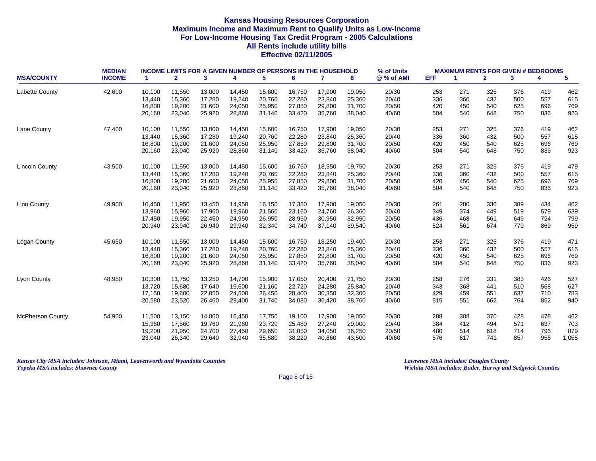| <b>MSA/COUNTY</b>       | <b>MEDIAN</b><br><b>INCOME</b> | $\blacktriangleleft$ | $\mathbf{2}$ | 3      | 4      | 5      | <b>INCOME LIMITS FOR A GIVEN NUMBER OF PERSONS IN THE HOUSEHOLD</b><br>6 | $\mathbf{7}$ | 8      | % of Units<br>@ % of AMI | <b>EFF</b> | <b>MAXIMUM RENTS FOR GIVEN # BEDROOMS</b><br>-1 | $\mathbf{2}$ | 3   | 4   | 5     |
|-------------------------|--------------------------------|----------------------|--------------|--------|--------|--------|--------------------------------------------------------------------------|--------------|--------|--------------------------|------------|-------------------------------------------------|--------------|-----|-----|-------|
| Labette County          | 42,600                         | 10,100               | 11,550       | 13,000 | 14,450 | 15,600 | 16,750                                                                   | 17,900       | 19,050 | 20/30                    | 253        | 271                                             | 325          | 376 | 419 | 462   |
|                         |                                | 13,440               | 15,360       | 17,280 | 19.240 | 20.760 | 22,280                                                                   | 23.840       | 25,360 | 20/40                    | 336        | 360                                             | 432          | 500 | 557 | 615   |
|                         |                                | 16,800               | 19,200       | 21,600 | 24,050 | 25,950 | 27,850                                                                   | 29,800       | 31,700 | 20/50                    | 420        | 450                                             | 540          | 625 | 696 | 769   |
|                         |                                | 20,160               | 23,040       | 25,920 | 28,860 | 31,140 | 33,420                                                                   | 35,760       | 38,040 | 40/60                    | 504        | 540                                             | 648          | 750 | 836 | 923   |
| Lane County             | 47,400                         | 10,100               | 11,550       | 13,000 | 14,450 | 15,600 | 16,750                                                                   | 17,900       | 19,050 | 20/30                    | 253        | 271                                             | 325          | 376 | 419 | 462   |
|                         |                                | 13,440               | 15,360       | 17,280 | 19,240 | 20,760 | 22,280                                                                   | 23,840       | 25,360 | 20/40                    | 336        | 360                                             | 432          | 500 | 557 | 615   |
|                         |                                | 16,800               | 19,200       | 21,600 | 24,050 | 25,950 | 27,850                                                                   | 29,800       | 31,700 | 20/50                    | 420        | 450                                             | 540          | 625 | 696 | 769   |
|                         |                                | 20,160               | 23,040       | 25,920 | 28,860 | 31,140 | 33,420                                                                   | 35,760       | 38,040 | 40/60                    | 504        | 540                                             | 648          | 750 | 836 | 923   |
| <b>Lincoln County</b>   | 43,500                         | 10,100               | 11,550       | 13,000 | 14,450 | 15,600 | 16,750                                                                   | 18,550       | 19,750 | 20/30                    | 253        | 271                                             | 325          | 376 | 419 | 479   |
|                         |                                | 13,440               | 15,360       | 17,280 | 19,240 | 20,760 | 22,280                                                                   | 23,840       | 25,360 | 20/40                    | 336        | 360                                             | 432          | 500 | 557 | 615   |
|                         |                                | 16,800               | 19,200       | 21,600 | 24,050 | 25,950 | 27,850                                                                   | 29,800       | 31,700 | 20/50                    | 420        | 450                                             | 540          | 625 | 696 | 769   |
|                         |                                | 20,160               | 23,040       | 25,920 | 28,860 | 31,140 | 33,420                                                                   | 35,760       | 38,040 | 40/60                    | 504        | 540                                             | 648          | 750 | 836 | 923   |
| Linn County             | 49,900                         | 10,450               | 11,950       | 13,450 | 14,950 | 16,150 | 17,350                                                                   | 17,900       | 19,050 | 20/30                    | 261        | 280                                             | 336          | 389 | 434 | 462   |
|                         |                                | 13,960               | 15,960       | 17,960 | 19,960 | 21,560 | 23,160                                                                   | 24,760       | 26,360 | 20/40                    | 349        | 374                                             | 449          | 519 | 579 | 639   |
|                         |                                | 17,450               | 19,950       | 22,450 | 24,950 | 26,950 | 28,950                                                                   | 30,950       | 32,950 | 20/50                    | 436        | 468                                             | 561          | 649 | 724 | 799   |
|                         |                                | 20,940               | 23,940       | 26,940 | 29,940 | 32,340 | 34,740                                                                   | 37,140       | 39,540 | 40/60                    | 524        | 561                                             | 674          | 779 | 869 | 959   |
| Logan County            | 45,650                         | 10,100               | 11,550       | 13,000 | 14,450 | 15,600 | 16,750                                                                   | 18,250       | 19,400 | 20/30                    | 253        | 271                                             | 325          | 376 | 419 | 471   |
|                         |                                | 13,440               | 15,360       | 17,280 | 19,240 | 20,760 | 22,280                                                                   | 23,840       | 25,360 | 20/40                    | 336        | 360                                             | 432          | 500 | 557 | 615   |
|                         |                                | 16,800               | 19,200       | 21,600 | 24,050 | 25,950 | 27,850                                                                   | 29,800       | 31,700 | 20/50                    | 420        | 450                                             | 540          | 625 | 696 | 769   |
|                         |                                | 20,160               | 23,040       | 25,920 | 28,860 | 31,140 | 33,420                                                                   | 35,760       | 38,040 | 40/60                    | 504        | 540                                             | 648          | 750 | 836 | 923   |
| Lyon County             | 48,950                         | 10,300               | 11,750       | 13,250 | 14,700 | 15,900 | 17,050                                                                   | 20,400       | 21,750 | 20/30                    | 258        | 276                                             | 331          | 383 | 426 | 527   |
|                         |                                | 13,720               | 15,680       | 17,640 | 19,600 | 21,160 | 22,720                                                                   | 24,280       | 25,840 | 20/40                    | 343        | 368                                             | 441          | 510 | 568 | 627   |
|                         |                                | 17,150               | 19,600       | 22,050 | 24,500 | 26,450 | 28,400                                                                   | 30,350       | 32,300 | 20/50                    | 429        | 459                                             | 551          | 637 | 710 | 783   |
|                         |                                | 20,580               | 23,520       | 26,460 | 29,400 | 31,740 | 34,080                                                                   | 36,420       | 38,760 | 40/60                    | 515        | 551                                             | 662          | 764 | 852 | 940   |
| <b>McPherson County</b> | 54,900                         | 11,500               | 13,150       | 14,800 | 16,450 | 17,750 | 19,100                                                                   | 17,900       | 19,050 | 20/30                    | 288        | 308                                             | 370          | 428 | 478 | 462   |
|                         |                                | 15,360               | 17,560       | 19,760 | 21,960 | 23,720 | 25,480                                                                   | 27,240       | 29,000 | 20/40                    | 384        | 412                                             | 494          | 571 | 637 | 703   |
|                         |                                | 19,200               | 21,950       | 24,700 | 27,450 | 29,650 | 31,850                                                                   | 34,050       | 36,250 | 20/50                    | 480        | 514                                             | 618          | 714 | 796 | 879   |
|                         |                                | 23,040               | 26,340       | 29,640 | 32,940 | 35,580 | 38,220                                                                   | 40,860       | 43,500 | 40/60                    | 576        | 617                                             | 741          | 857 | 956 | 1,055 |

*Kansas City MSA includes: Johnson, Miami, Leavenworth and Wyandotte Counties Lawrence MSA includes: Douglas County Topeka MSA includes: Shawnee County Wichita MSA includes: Butler, Harvey and Sedgwick Counties*

Page 8 of 15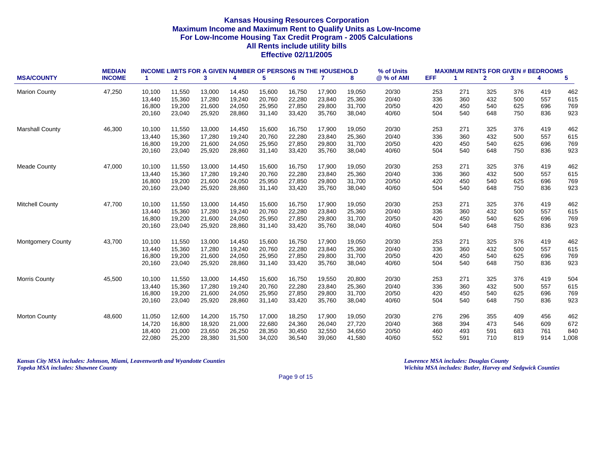|                          | <b>MEDIAN</b> |                      | <b>INCOME LIMITS FOR A GIVEN NUMBER OF PERSONS IN THE HOUSEHOLD</b> |        |        |        |        |        |        | % of Units |            | <b>MAXIMUM RENTS FOR GIVEN # BEDROOMS</b> |              |     |     |       |
|--------------------------|---------------|----------------------|---------------------------------------------------------------------|--------|--------|--------|--------|--------|--------|------------|------------|-------------------------------------------|--------------|-----|-----|-------|
| <b>MSA/COUNTY</b>        | <b>INCOME</b> | $\blacktriangleleft$ | $\mathbf{2}$                                                        | 3      | 4      | 5      | 6      | 7      | 8      | @ % of AMI | <b>EFF</b> | 1                                         | $\mathbf{2}$ | 3   | 4   | 5     |
| <b>Marion County</b>     | 47,250        | 10.100               | 11,550                                                              | 13,000 | 14,450 | 15,600 | 16,750 | 17,900 | 19,050 | 20/30      | 253        | 271                                       | 325          | 376 | 419 | 462   |
|                          |               | 13,440               | 15,360                                                              | 17,280 | 19,240 | 20,760 | 22,280 | 23,840 | 25,360 | 20/40      | 336        | 360                                       | 432          | 500 | 557 | 615   |
|                          |               | 16,800               | 19,200                                                              | 21,600 | 24,050 | 25,950 | 27,850 | 29,800 | 31,700 | 20/50      | 420        | 450                                       | 540          | 625 | 696 | 769   |
|                          |               | 20,160               | 23,040                                                              | 25,920 | 28,860 | 31,140 | 33,420 | 35,760 | 38,040 | 40/60      | 504        | 540                                       | 648          | 750 | 836 | 923   |
| <b>Marshall County</b>   | 46,300        | 10,100               | 11,550                                                              | 13,000 | 14,450 | 15,600 | 16,750 | 17,900 | 19,050 | 20/30      | 253        | 271                                       | 325          | 376 | 419 | 462   |
|                          |               | 13,440               | 15,360                                                              | 17,280 | 19,240 | 20,760 | 22,280 | 23,840 | 25,360 | 20/40      | 336        | 360                                       | 432          | 500 | 557 | 615   |
|                          |               | 16,800               | 19,200                                                              | 21,600 | 24,050 | 25,950 | 27,850 | 29,800 | 31,700 | 20/50      | 420        | 450                                       | 540          | 625 | 696 | 769   |
|                          |               | 20,160               | 23,040                                                              | 25,920 | 28,860 | 31,140 | 33,420 | 35,760 | 38,040 | 40/60      | 504        | 540                                       | 648          | 750 | 836 | 923   |
| <b>Meade County</b>      | 47,000        | 10,100               | 11,550                                                              | 13,000 | 14,450 | 15,600 | 16,750 | 17,900 | 19,050 | 20/30      | 253        | 271                                       | 325          | 376 | 419 | 462   |
|                          |               | 13,440               | 15,360                                                              | 17,280 | 19,240 | 20,760 | 22,280 | 23,840 | 25,360 | 20/40      | 336        | 360                                       | 432          | 500 | 557 | 615   |
|                          |               | 16,800               | 19,200                                                              | 21,600 | 24,050 | 25,950 | 27,850 | 29,800 | 31,700 | 20/50      | 420        | 450                                       | 540          | 625 | 696 | 769   |
|                          |               | 20,160               | 23,040                                                              | 25,920 | 28,860 | 31,140 | 33,420 | 35,760 | 38,040 | 40/60      | 504        | 540                                       | 648          | 750 | 836 | 923   |
| <b>Mitchell County</b>   | 47,700        | 10,100               | 11,550                                                              | 13,000 | 14,450 | 15,600 | 16,750 | 17,900 | 19,050 | 20/30      | 253        | 271                                       | 325          | 376 | 419 | 462   |
|                          |               | 13,440               | 15,360                                                              | 17,280 | 19,240 | 20,760 | 22,280 | 23,840 | 25,360 | 20/40      | 336        | 360                                       | 432          | 500 | 557 | 615   |
|                          |               | 16,800               | 19,200                                                              | 21,600 | 24,050 | 25,950 | 27,850 | 29,800 | 31,700 | 20/50      | 420        | 450                                       | 540          | 625 | 696 | 769   |
|                          |               | 20,160               | 23,040                                                              | 25,920 | 28,860 | 31,140 | 33,420 | 35,760 | 38,040 | 40/60      | 504        | 540                                       | 648          | 750 | 836 | 923   |
| <b>Montgomery County</b> | 43,700        | 10,100               | 11,550                                                              | 13,000 | 14,450 | 15,600 | 16,750 | 17,900 | 19,050 | 20/30      | 253        | 271                                       | 325          | 376 | 419 | 462   |
|                          |               | 13,440               | 15,360                                                              | 17,280 | 19,240 | 20,760 | 22,280 | 23,840 | 25,360 | 20/40      | 336        | 360                                       | 432          | 500 | 557 | 615   |
|                          |               | 16,800               | 19,200                                                              | 21,600 | 24,050 | 25,950 | 27,850 | 29,800 | 31,700 | 20/50      | 420        | 450                                       | 540          | 625 | 696 | 769   |
|                          |               | 20,160               | 23,040                                                              | 25,920 | 28,860 | 31,140 | 33,420 | 35,760 | 38,040 | 40/60      | 504        | 540                                       | 648          | 750 | 836 | 923   |
| <b>Morris County</b>     | 45,500        | 10,100               | 11,550                                                              | 13,000 | 14,450 | 15,600 | 16,750 | 19,550 | 20,800 | 20/30      | 253        | 271                                       | 325          | 376 | 419 | 504   |
|                          |               | 13,440               | 15,360                                                              | 17,280 | 19,240 | 20,760 | 22,280 | 23,840 | 25,360 | 20/40      | 336        | 360                                       | 432          | 500 | 557 | 615   |
|                          |               | 16,800               | 19,200                                                              | 21,600 | 24,050 | 25,950 | 27,850 | 29,800 | 31,700 | 20/50      | 420        | 450                                       | 540          | 625 | 696 | 769   |
|                          |               | 20,160               | 23,040                                                              | 25,920 | 28,860 | 31,140 | 33,420 | 35,760 | 38,040 | 40/60      | 504        | 540                                       | 648          | 750 | 836 | 923   |
| <b>Morton County</b>     | 48,600        | 11,050               | 12,600                                                              | 14,200 | 15,750 | 17,000 | 18,250 | 17,900 | 19,050 | 20/30      | 276        | 296                                       | 355          | 409 | 456 | 462   |
|                          |               | 14,720               | 16,800                                                              | 18,920 | 21,000 | 22,680 | 24,360 | 26,040 | 27,720 | 20/40      | 368        | 394                                       | 473          | 546 | 609 | 672   |
|                          |               | 18,400               | 21,000                                                              | 23,650 | 26,250 | 28,350 | 30,450 | 32,550 | 34,650 | 20/50      | 460        | 493                                       | 591          | 683 | 761 | 840   |
|                          |               | 22,080               | 25,200                                                              | 28,380 | 31,500 | 34,020 | 36,540 | 39,060 | 41,580 | 40/60      | 552        | 591                                       | 710          | 819 | 914 | 1,008 |

*Kansas City MSA includes: Johnson, Miami, Leavenworth and Wyandotte Counties Lawrence MSA includes: Douglas County Topeka MSA includes: Shawnee County Wichita MSA includes: Butler, Harvey and Sedgwick Counties*

Page 9 of 15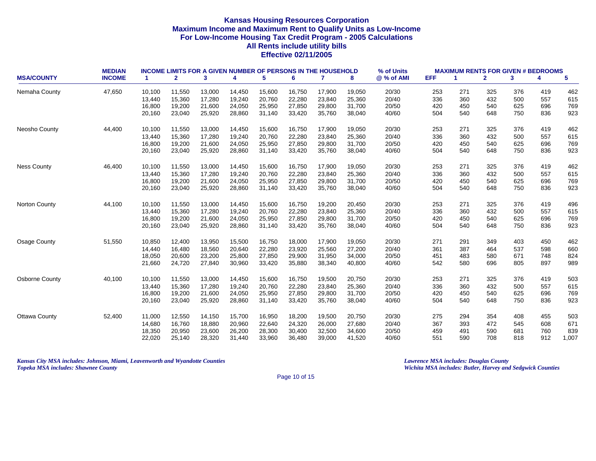| <b>MSA/COUNTY</b>     | <b>MEDIAN</b><br><b>INCOME</b> | -1     | <b>INCOME LIMITS FOR A GIVEN NUMBER OF PERSONS IN THE HOUSEHOLD</b><br>$\mathbf{2}$ | 3      | 4      | 5      | 6      | $\mathbf{7}$ | 8      | % of Units<br>@ % of AMI | EFF. | -1  | $\mathbf{2}$ | <b>MAXIMUM RENTS FOR GIVEN # BEDROOMS</b><br>3 | 4   | 5     |
|-----------------------|--------------------------------|--------|-------------------------------------------------------------------------------------|--------|--------|--------|--------|--------------|--------|--------------------------|------|-----|--------------|------------------------------------------------|-----|-------|
|                       |                                |        |                                                                                     |        |        |        |        |              |        |                          |      |     |              |                                                |     |       |
| Nemaha County         | 47,650                         | 10,100 | 11,550                                                                              | 13,000 | 14,450 | 15,600 | 16,750 | 17,900       | 19,050 | 20/30                    | 253  | 271 | 325          | 376                                            | 419 | 462   |
|                       |                                | 13,440 | 15,360                                                                              | 17,280 | 19,240 | 20,760 | 22,280 | 23,840       | 25,360 | 20/40                    | 336  | 360 | 432          | 500                                            | 557 | 615   |
|                       |                                | 16,800 | 19,200                                                                              | 21,600 | 24,050 | 25,950 | 27,850 | 29,800       | 31,700 | 20/50                    | 420  | 450 | 540          | 625                                            | 696 | 769   |
|                       |                                | 20,160 | 23,040                                                                              | 25,920 | 28,860 | 31,140 | 33,420 | 35,760       | 38,040 | 40/60                    | 504  | 540 | 648          | 750                                            | 836 | 923   |
| Neosho County         | 44.400                         | 10,100 | 11,550                                                                              | 13,000 | 14,450 | 15,600 | 16,750 | 17,900       | 19,050 | 20/30                    | 253  | 271 | 325          | 376                                            | 419 | 462   |
|                       |                                | 13,440 | 15,360                                                                              | 17,280 | 19,240 | 20,760 | 22,280 | 23,840       | 25,360 | 20/40                    | 336  | 360 | 432          | 500                                            | 557 | 615   |
|                       |                                | 16,800 | 19,200                                                                              | 21,600 | 24,050 | 25,950 | 27,850 | 29,800       | 31,700 | 20/50                    | 420  | 450 | 540          | 625                                            | 696 | 769   |
|                       |                                | 20,160 | 23,040                                                                              | 25,920 | 28,860 | 31,140 | 33,420 | 35,760       | 38,040 | 40/60                    | 504  | 540 | 648          | 750                                            | 836 | 923   |
| <b>Ness County</b>    | 46.400                         | 10,100 | 11,550                                                                              | 13,000 | 14,450 | 15,600 | 16,750 | 17,900       | 19,050 | 20/30                    | 253  | 271 | 325          | 376                                            | 419 | 462   |
|                       |                                | 13,440 | 15,360                                                                              | 17,280 | 19,240 | 20,760 | 22,280 | 23,840       | 25,360 | 20/40                    | 336  | 360 | 432          | 500                                            | 557 | 615   |
|                       |                                | 16,800 | 19,200                                                                              | 21,600 | 24,050 | 25,950 | 27,850 | 29,800       | 31,700 | 20/50                    | 420  | 450 | 540          | 625                                            | 696 | 769   |
|                       |                                | 20,160 | 23,040                                                                              | 25,920 | 28,860 | 31,140 | 33,420 | 35,760       | 38,040 | 40/60                    | 504  | 540 | 648          | 750                                            | 836 | 923   |
| Norton County         | 44,100                         | 10,100 | 11,550                                                                              | 13,000 | 14,450 | 15,600 | 16,750 | 19,200       | 20,450 | 20/30                    | 253  | 271 | 325          | 376                                            | 419 | 496   |
|                       |                                | 13,440 | 15,360                                                                              | 17.280 | 19,240 | 20,760 | 22,280 | 23,840       | 25,360 | 20/40                    | 336  | 360 | 432          | 500                                            | 557 | 615   |
|                       |                                | 16,800 | 19,200                                                                              | 21,600 | 24,050 | 25,950 | 27,850 | 29,800       | 31,700 | 20/50                    | 420  | 450 | 540          | 625                                            | 696 | 769   |
|                       |                                | 20,160 | 23,040                                                                              | 25,920 | 28,860 | 31,140 | 33,420 | 35,760       | 38,040 | 40/60                    | 504  | 540 | 648          | 750                                            | 836 | 923   |
| Osage County          | 51,550                         | 10,850 | 12,400                                                                              | 13,950 | 15,500 | 16,750 | 18,000 | 17,900       | 19,050 | 20/30                    | 271  | 291 | 349          | 403                                            | 450 | 462   |
|                       |                                | 14,440 | 16,480                                                                              | 18,560 | 20,640 | 22,280 | 23,920 | 25,560       | 27,200 | 20/40                    | 361  | 387 | 464          | 537                                            | 598 | 660   |
|                       |                                | 18,050 | 20,600                                                                              | 23,200 | 25,800 | 27,850 | 29,900 | 31,950       | 34,000 | 20/50                    | 451  | 483 | 580          | 671                                            | 748 | 824   |
|                       |                                | 21,660 | 24,720                                                                              | 27,840 | 30,960 | 33,420 | 35,880 | 38,340       | 40,800 | 40/60                    | 542  | 580 | 696          | 805                                            | 897 | 989   |
| <b>Osborne County</b> | 40,100                         | 10,100 | 11,550                                                                              | 13,000 | 14,450 | 15,600 | 16,750 | 19,500       | 20,750 | 20/30                    | 253  | 271 | 325          | 376                                            | 419 | 503   |
|                       |                                | 13,440 | 15,360                                                                              | 17,280 | 19,240 | 20,760 | 22,280 | 23,840       | 25,360 | 20/40                    | 336  | 360 | 432          | 500                                            | 557 | 615   |
|                       |                                | 16,800 | 19,200                                                                              | 21,600 | 24,050 | 25,950 | 27,850 | 29,800       | 31,700 | 20/50                    | 420  | 450 | 540          | 625                                            | 696 | 769   |
|                       |                                | 20,160 | 23,040                                                                              | 25,920 | 28,860 | 31,140 | 33,420 | 35,760       | 38,040 | 40/60                    | 504  | 540 | 648          | 750                                            | 836 | 923   |
| <b>Ottawa County</b>  | 52,400                         | 11,000 | 12,550                                                                              | 14,150 | 15,700 | 16,950 | 18,200 | 19,500       | 20,750 | 20/30                    | 275  | 294 | 354          | 408                                            | 455 | 503   |
|                       |                                | 14,680 | 16,760                                                                              | 18,880 | 20,960 | 22,640 | 24,320 | 26,000       | 27,680 | 20/40                    | 367  | 393 | 472          | 545                                            | 608 | 671   |
|                       |                                | 18,350 | 20,950                                                                              | 23,600 | 26,200 | 28,300 | 30,400 | 32,500       | 34,600 | 20/50                    | 459  | 491 | 590          | 681                                            | 760 | 839   |
|                       |                                | 22,020 | 25,140                                                                              | 28,320 | 31,440 | 33,960 | 36,480 | 39,000       | 41,520 | 40/60                    | 551  | 590 | 708          | 818                                            | 912 | 1,007 |

*Kansas City MSA includes: Johnson, Miami, Leavenworth and Wyandotte Counties Lawrence MSA includes: Douglas County Topeka MSA includes: Shawnee County Wichita MSA includes: Butler, Harvey and Sedgwick Counties*

Page 10 of 15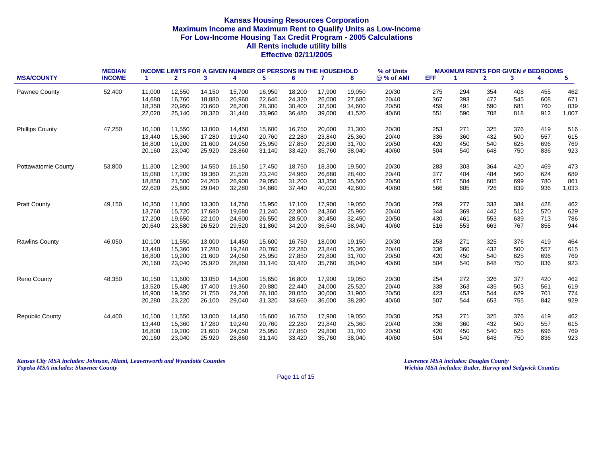|                            | <b>MEDIAN</b> |        | <b>INCOME LIMITS FOR A GIVEN NUMBER OF PERSONS IN THE HOUSEHOLD</b> |        |        |        |        |              |        | % of Units |      | <b>MAXIMUM RENTS FOR GIVEN # BEDROOMS</b> |              |     |     |       |
|----------------------------|---------------|--------|---------------------------------------------------------------------|--------|--------|--------|--------|--------------|--------|------------|------|-------------------------------------------|--------------|-----|-----|-------|
| <b>MSA/COUNTY</b>          | <b>INCOME</b> | 1      | $\mathbf{2}$                                                        | 3      | 4      | 5      | 6      | $\mathbf{7}$ | 8      | @ % of AMI | EFF. | -1                                        | $\mathbf{2}$ | 3   | 4   | 5     |
| Pawnee County              | 52,400        | 11,000 | 12,550                                                              | 14,150 | 15,700 | 16,950 | 18,200 | 17,900       | 19,050 | 20/30      | 275  | 294                                       | 354          | 408 | 455 | 462   |
|                            |               | 14,680 | 16,760                                                              | 18,880 | 20,960 | 22,640 | 24,320 | 26,000       | 27,680 | 20/40      | 367  | 393                                       | 472          | 545 | 608 | 671   |
|                            |               | 18,350 | 20,950                                                              | 23,600 | 26,200 | 28,300 | 30,400 | 32,500       | 34,600 | 20/50      | 459  | 491                                       | 590          | 681 | 760 | 839   |
|                            |               | 22,020 | 25,140                                                              | 28,320 | 31,440 | 33,960 | 36,480 | 39,000       | 41,520 | 40/60      | 551  | 590                                       | 708          | 818 | 912 | 1,007 |
| <b>Phillips County</b>     | 47,250        | 10,100 | 11,550                                                              | 13,000 | 14,450 | 15,600 | 16,750 | 20,000       | 21,300 | 20/30      | 253  | 271                                       | 325          | 376 | 419 | 516   |
|                            |               | 13,440 | 15,360                                                              | 17,280 | 19,240 | 20,760 | 22,280 | 23,840       | 25,360 | 20/40      | 336  | 360                                       | 432          | 500 | 557 | 615   |
|                            |               | 16,800 | 19,200                                                              | 21,600 | 24,050 | 25,950 | 27,850 | 29,800       | 31,700 | 20/50      | 420  | 450                                       | 540          | 625 | 696 | 769   |
|                            |               | 20,160 | 23,040                                                              | 25,920 | 28,860 | 31,140 | 33,420 | 35,760       | 38,040 | 40/60      | 504  | 540                                       | 648          | 750 | 836 | 923   |
| <b>Pottawatomie County</b> | 53,800        | 11,300 | 12,900                                                              | 14,550 | 16,150 | 17,450 | 18,750 | 18,300       | 19,500 | 20/30      | 283  | 303                                       | 364          | 420 | 469 | 473   |
|                            |               | 15,080 | 17,200                                                              | 19,360 | 21,520 | 23,240 | 24,960 | 26,680       | 28,400 | 20/40      | 377  | 404                                       | 484          | 560 | 624 | 689   |
|                            |               | 18,850 | 21,500                                                              | 24,200 | 26,900 | 29,050 | 31,200 | 33,350       | 35,500 | 20/50      | 471  | 504                                       | 605          | 699 | 780 | 861   |
|                            |               | 22,620 | 25,800                                                              | 29,040 | 32,280 | 34,860 | 37,440 | 40,020       | 42,600 | 40/60      | 566  | 605                                       | 726          | 839 | 936 | 1,033 |
| <b>Pratt County</b>        | 49,150        | 10,350 | 11,800                                                              | 13,300 | 14,750 | 15,950 | 17,100 | 17,900       | 19,050 | 20/30      | 259  | 277                                       | 333          | 384 | 428 | 462   |
|                            |               | 13,760 | 15,720                                                              | 17,680 | 19,680 | 21,240 | 22,800 | 24,360       | 25,960 | 20/40      | 344  | 369                                       | 442          | 512 | 570 | 629   |
|                            |               | 17,200 | 19,650                                                              | 22,100 | 24,600 | 26,550 | 28,500 | 30,450       | 32,450 | 20/50      | 430  | 461                                       | 553          | 639 | 713 | 786   |
|                            |               | 20,640 | 23,580                                                              | 26,520 | 29,520 | 31,860 | 34,200 | 36,540       | 38,940 | 40/60      | 516  | 553                                       | 663          | 767 | 855 | 944   |
| <b>Rawlins County</b>      | 46,050        | 10,100 | 11,550                                                              | 13,000 | 14,450 | 15,600 | 16,750 | 18,000       | 19,150 | 20/30      | 253  | 271                                       | 325          | 376 | 419 | 464   |
|                            |               | 13,440 | 15,360                                                              | 17,280 | 19,240 | 20,760 | 22,280 | 23,840       | 25,360 | 20/40      | 336  | 360                                       | 432          | 500 | 557 | 615   |
|                            |               | 16,800 | 19,200                                                              | 21,600 | 24,050 | 25,950 | 27,850 | 29,800       | 31,700 | 20/50      | 420  | 450                                       | 540          | 625 | 696 | 769   |
|                            |               | 20,160 | 23,040                                                              | 25,920 | 28,860 | 31,140 | 33,420 | 35,760       | 38,040 | 40/60      | 504  | 540                                       | 648          | 750 | 836 | 923   |
| <b>Reno County</b>         | 48,350        | 10,150 | 11,600                                                              | 13,050 | 14,500 | 15,650 | 16,800 | 17,900       | 19,050 | 20/30      | 254  | 272                                       | 326          | 377 | 420 | 462   |
|                            |               | 13,520 | 15,480                                                              | 17,400 | 19,360 | 20,880 | 22,440 | 24,000       | 25,520 | 20/40      | 338  | 363                                       | 435          | 503 | 561 | 619   |
|                            |               | 16,900 | 19,350                                                              | 21,750 | 24,200 | 26,100 | 28,050 | 30,000       | 31,900 | 20/50      | 423  | 453                                       | 544          | 629 | 701 | 774   |
|                            |               | 20,280 | 23,220                                                              | 26,100 | 29,040 | 31,320 | 33,660 | 36,000       | 38,280 | 40/60      | 507  | 544                                       | 653          | 755 | 842 | 929   |
| <b>Republic County</b>     | 44,400        | 10,100 | 11,550                                                              | 13,000 | 14,450 | 15,600 | 16,750 | 17,900       | 19,050 | 20/30      | 253  | 271                                       | 325          | 376 | 419 | 462   |
|                            |               | 13,440 | 15,360                                                              | 17,280 | 19,240 | 20,760 | 22,280 | 23,840       | 25,360 | 20/40      | 336  | 360                                       | 432          | 500 | 557 | 615   |
|                            |               | 16,800 | 19,200                                                              | 21,600 | 24,050 | 25,950 | 27,850 | 29,800       | 31,700 | 20/50      | 420  | 450                                       | 540          | 625 | 696 | 769   |
|                            |               | 20,160 | 23,040                                                              | 25,920 | 28,860 | 31,140 | 33,420 | 35,760       | 38,040 | 40/60      | 504  | 540                                       | 648          | 750 | 836 | 923   |

*Kansas City MSA includes: Johnson, Miami, Leavenworth and Wyandotte Counties Lawrence MSA includes: Douglas County Topeka MSA includes: Shawnee County Wichita MSA includes: Butler, Harvey and Sedgwick Counties*

Page 11 of 15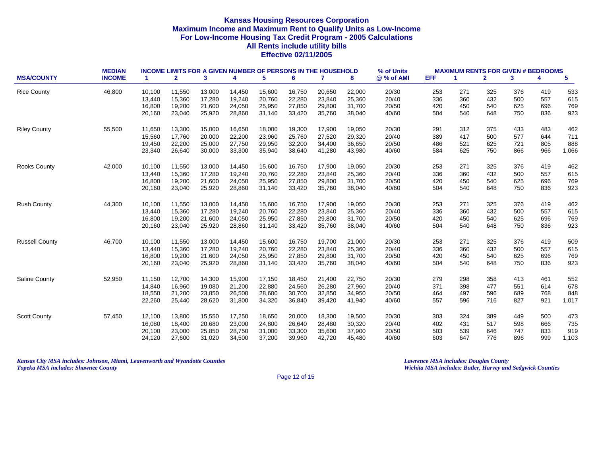|                       | <b>MEDIAN</b> |        | <b>INCOME LIMITS FOR A GIVEN NUMBER OF PERSONS IN THE HOUSEHOLD</b> |        |        |        |        |        |        | % of Units |            | <b>MAXIMUM RENTS FOR GIVEN # BEDROOMS</b> |              |     |     |                 |
|-----------------------|---------------|--------|---------------------------------------------------------------------|--------|--------|--------|--------|--------|--------|------------|------------|-------------------------------------------|--------------|-----|-----|-----------------|
| <b>MSA/COUNTY</b>     | <b>INCOME</b> | -1.    | $\mathbf{2}$                                                        | 3      | 4      | 5      | 6      | 7      | 8      | @ % of AMI | <b>EFF</b> | 1                                         | $\mathbf{2}$ | 3   | 4   | $5\phantom{.0}$ |
| <b>Rice County</b>    | 46,800        | 10,100 | 11,550                                                              | 13,000 | 14,450 | 15,600 | 16,750 | 20,650 | 22,000 | 20/30      | 253        | 271                                       | 325          | 376 | 419 | 533             |
|                       |               | 13,440 | 15,360                                                              | 17,280 | 19,240 | 20,760 | 22,280 | 23,840 | 25,360 | 20/40      | 336        | 360                                       | 432          | 500 | 557 | 615             |
|                       |               | 16,800 | 19,200                                                              | 21,600 | 24,050 | 25,950 | 27,850 | 29,800 | 31,700 | 20/50      | 420        | 450                                       | 540          | 625 | 696 | 769             |
|                       |               | 20,160 | 23,040                                                              | 25,920 | 28,860 | 31,140 | 33,420 | 35,760 | 38,040 | 40/60      | 504        | 540                                       | 648          | 750 | 836 | 923             |
| <b>Riley County</b>   | 55,500        | 11,650 | 13,300                                                              | 15,000 | 16,650 | 18,000 | 19,300 | 17,900 | 19,050 | 20/30      | 291        | 312                                       | 375          | 433 | 483 | 462             |
|                       |               | 15,560 | 17,760                                                              | 20,000 | 22,200 | 23,960 | 25,760 | 27,520 | 29,320 | 20/40      | 389        | 417                                       | 500          | 577 | 644 | 711             |
|                       |               | 19,450 | 22,200                                                              | 25,000 | 27,750 | 29,950 | 32,200 | 34,400 | 36,650 | 20/50      | 486        | 521                                       | 625          | 721 | 805 | 888             |
|                       |               | 23,340 | 26,640                                                              | 30,000 | 33,300 | 35,940 | 38,640 | 41,280 | 43,980 | 40/60      | 584        | 625                                       | 750          | 866 | 966 | 1,066           |
| <b>Rooks County</b>   | 42,000        | 10,100 | 11,550                                                              | 13,000 | 14,450 | 15,600 | 16,750 | 17,900 | 19,050 | 20/30      | 253        | 271                                       | 325          | 376 | 419 | 462             |
|                       |               | 13,440 | 15,360                                                              | 17,280 | 19,240 | 20,760 | 22,280 | 23,840 | 25,360 | 20/40      | 336        | 360                                       | 432          | 500 | 557 | 615             |
|                       |               | 16,800 | 19,200                                                              | 21,600 | 24,050 | 25,950 | 27,850 | 29,800 | 31,700 | 20/50      | 420        | 450                                       | 540          | 625 | 696 | 769             |
|                       |               | 20,160 | 23,040                                                              | 25,920 | 28,860 | 31,140 | 33,420 | 35,760 | 38,040 | 40/60      | 504        | 540                                       | 648          | 750 | 836 | 923             |
| <b>Rush County</b>    | 44,300        | 10,100 | 11,550                                                              | 13,000 | 14,450 | 15,600 | 16,750 | 17,900 | 19,050 | 20/30      | 253        | 271                                       | 325          | 376 | 419 | 462             |
|                       |               | 13,440 | 15,360                                                              | 17,280 | 19.240 | 20,760 | 22.280 | 23,840 | 25,360 | 20/40      | 336        | 360                                       | 432          | 500 | 557 | 615             |
|                       |               | 16,800 | 19,200                                                              | 21,600 | 24,050 | 25,950 | 27,850 | 29,800 | 31,700 | 20/50      | 420        | 450                                       | 540          | 625 | 696 | 769             |
|                       |               | 20,160 | 23,040                                                              | 25,920 | 28,860 | 31,140 | 33,420 | 35,760 | 38,040 | 40/60      | 504        | 540                                       | 648          | 750 | 836 | 923             |
| <b>Russell County</b> | 46,700        | 10,100 | 11,550                                                              | 13,000 | 14,450 | 15,600 | 16,750 | 19,700 | 21,000 | 20/30      | 253        | 271                                       | 325          | 376 | 419 | 509             |
|                       |               | 13,440 | 15,360                                                              | 17,280 | 19,240 | 20,760 | 22,280 | 23,840 | 25,360 | 20/40      | 336        | 360                                       | 432          | 500 | 557 | 615             |
|                       |               | 16,800 | 19,200                                                              | 21,600 | 24,050 | 25,950 | 27,850 | 29,800 | 31,700 | 20/50      | 420        | 450                                       | 540          | 625 | 696 | 769             |
|                       |               | 20,160 | 23,040                                                              | 25,920 | 28,860 | 31,140 | 33,420 | 35,760 | 38,040 | 40/60      | 504        | 540                                       | 648          | 750 | 836 | 923             |
| <b>Saline County</b>  | 52,950        | 11,150 | 12,700                                                              | 14,300 | 15,900 | 17,150 | 18,450 | 21,400 | 22,750 | 20/30      | 279        | 298                                       | 358          | 413 | 461 | 552             |
|                       |               | 14,840 | 16,960                                                              | 19,080 | 21,200 | 22,880 | 24,560 | 26,280 | 27,960 | 20/40      | 371        | 398                                       | 477          | 551 | 614 | 678             |
|                       |               | 18,550 | 21,200                                                              | 23,850 | 26,500 | 28,600 | 30,700 | 32,850 | 34,950 | 20/50      | 464        | 497                                       | 596          | 689 | 768 | 848             |
|                       |               | 22,260 | 25,440                                                              | 28,620 | 31,800 | 34,320 | 36,840 | 39,420 | 41,940 | 40/60      | 557        | 596                                       | 716          | 827 | 921 | 1,017           |
| <b>Scott County</b>   | 57,450        | 12,100 | 13,800                                                              | 15,550 | 17,250 | 18,650 | 20,000 | 18,300 | 19,500 | 20/30      | 303        | 324                                       | 389          | 449 | 500 | 473             |
|                       |               | 16,080 | 18,400                                                              | 20,680 | 23,000 | 24,800 | 26,640 | 28,480 | 30,320 | 20/40      | 402        | 431                                       | 517          | 598 | 666 | 735             |
|                       |               | 20,100 | 23,000                                                              | 25,850 | 28,750 | 31,000 | 33,300 | 35,600 | 37,900 | 20/50      | 503        | 539                                       | 646          | 747 | 833 | 919             |
|                       |               | 24,120 | 27,600                                                              | 31,020 | 34,500 | 37,200 | 39,960 | 42,720 | 45,480 | 40/60      | 603        | 647                                       | 776          | 896 | 999 | 1,103           |

*Kansas City MSA includes: Johnson, Miami, Leavenworth and Wyandotte Counties Lawrence MSA includes: Douglas County Topeka MSA includes: Shawnee County Wichita MSA includes: Butler, Harvey and Sedgwick Counties*

Page 12 of 15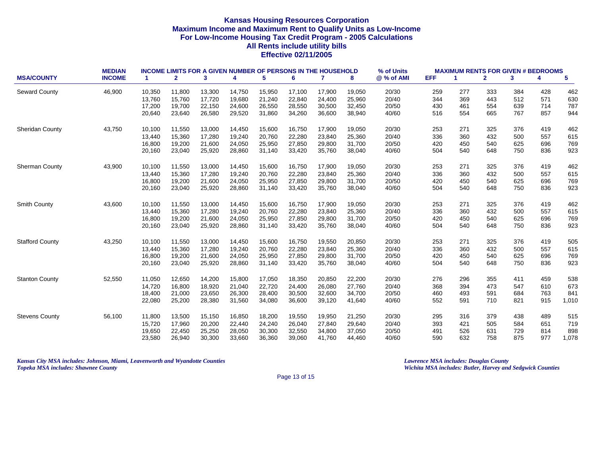|                        | <b>MEDIAN</b> | <b>INCOME LIMITS FOR A GIVEN NUMBER OF PERSONS IN THE HOUSEHOLD</b> |              |        |        |        |        |        |        | % of Units | <b>MAXIMUM RENTS FOR GIVEN # BEDROOMS</b> |     |              |     |     |                 |
|------------------------|---------------|---------------------------------------------------------------------|--------------|--------|--------|--------|--------|--------|--------|------------|-------------------------------------------|-----|--------------|-----|-----|-----------------|
| <b>MSA/COUNTY</b>      | <b>INCOME</b> | -1.                                                                 | $\mathbf{2}$ | 3      | 4      | 5      | 6      | 7      | 8      | @ % of AMI | <b>EFF</b>                                | 1   | $\mathbf{2}$ | 3   | 4   | $5\phantom{.0}$ |
| <b>Seward County</b>   | 46,900        | 10,350                                                              | 11,800       | 13,300 | 14,750 | 15,950 | 17,100 | 17,900 | 19,050 | 20/30      | 259                                       | 277 | 333          | 384 | 428 | 462             |
|                        |               | 13,760                                                              | 15,760       | 17,720 | 19,680 | 21,240 | 22,840 | 24,400 | 25,960 | 20/40      | 344                                       | 369 | 443          | 512 | 571 | 630             |
|                        |               | 17,200                                                              | 19,700       | 22,150 | 24,600 | 26,550 | 28,550 | 30,500 | 32,450 | 20/50      | 430                                       | 461 | 554          | 639 | 714 | 787             |
|                        |               | 20,640                                                              | 23,640       | 26,580 | 29,520 | 31,860 | 34,260 | 36,600 | 38,940 | 40/60      | 516                                       | 554 | 665          | 767 | 857 | 944             |
| <b>Sheridan County</b> | 43,750        | 10,100                                                              | 11,550       | 13,000 | 14,450 | 15,600 | 16,750 | 17,900 | 19,050 | 20/30      | 253                                       | 271 | 325          | 376 | 419 | 462             |
|                        |               | 13,440                                                              | 15,360       | 17,280 | 19,240 | 20,760 | 22,280 | 23,840 | 25,360 | 20/40      | 336                                       | 360 | 432          | 500 | 557 | 615             |
|                        |               | 16,800                                                              | 19,200       | 21,600 | 24,050 | 25,950 | 27,850 | 29,800 | 31,700 | 20/50      | 420                                       | 450 | 540          | 625 | 696 | 769             |
|                        |               | 20,160                                                              | 23,040       | 25,920 | 28,860 | 31,140 | 33,420 | 35,760 | 38,040 | 40/60      | 504                                       | 540 | 648          | 750 | 836 | 923             |
| Sherman County         | 43,900        | 10,100                                                              | 11,550       | 13,000 | 14,450 | 15,600 | 16,750 | 17,900 | 19,050 | 20/30      | 253                                       | 271 | 325          | 376 | 419 | 462             |
|                        |               | 13,440                                                              | 15,360       | 17,280 | 19,240 | 20,760 | 22,280 | 23,840 | 25,360 | 20/40      | 336                                       | 360 | 432          | 500 | 557 | 615             |
|                        |               | 16,800                                                              | 19,200       | 21,600 | 24,050 | 25,950 | 27,850 | 29,800 | 31,700 | 20/50      | 420                                       | 450 | 540          | 625 | 696 | 769             |
|                        |               | 20,160                                                              | 23,040       | 25,920 | 28,860 | 31,140 | 33,420 | 35,760 | 38,040 | 40/60      | 504                                       | 540 | 648          | 750 | 836 | 923             |
| Smith County           | 43,600        | 10,100                                                              | 11,550       | 13,000 | 14,450 | 15,600 | 16,750 | 17,900 | 19,050 | 20/30      | 253                                       | 271 | 325          | 376 | 419 | 462             |
|                        |               | 13,440                                                              | 15,360       | 17,280 | 19.240 | 20,760 | 22.280 | 23,840 | 25,360 | 20/40      | 336                                       | 360 | 432          | 500 | 557 | 615             |
|                        |               | 16,800                                                              | 19,200       | 21,600 | 24,050 | 25,950 | 27,850 | 29,800 | 31,700 | 20/50      | 420                                       | 450 | 540          | 625 | 696 | 769             |
|                        |               | 20,160                                                              | 23,040       | 25,920 | 28,860 | 31,140 | 33,420 | 35,760 | 38,040 | 40/60      | 504                                       | 540 | 648          | 750 | 836 | 923             |
| <b>Stafford County</b> | 43,250        | 10,100                                                              | 11,550       | 13,000 | 14,450 | 15,600 | 16,750 | 19,550 | 20,850 | 20/30      | 253                                       | 271 | 325          | 376 | 419 | 505             |
|                        |               | 13,440                                                              | 15,360       | 17,280 | 19,240 | 20,760 | 22,280 | 23,840 | 25,360 | 20/40      | 336                                       | 360 | 432          | 500 | 557 | 615             |
|                        |               | 16,800                                                              | 19,200       | 21,600 | 24,050 | 25,950 | 27,850 | 29,800 | 31,700 | 20/50      | 420                                       | 450 | 540          | 625 | 696 | 769             |
|                        |               | 20,160                                                              | 23,040       | 25,920 | 28,860 | 31,140 | 33,420 | 35,760 | 38,040 | 40/60      | 504                                       | 540 | 648          | 750 | 836 | 923             |
| <b>Stanton County</b>  | 52,550        | 11,050                                                              | 12,650       | 14,200 | 15,800 | 17,050 | 18,350 | 20,850 | 22,200 | 20/30      | 276                                       | 296 | 355          | 411 | 459 | 538             |
|                        |               | 14,720                                                              | 16,800       | 18,920 | 21,040 | 22,720 | 24,400 | 26,080 | 27,760 | 20/40      | 368                                       | 394 | 473          | 547 | 610 | 673             |
|                        |               | 18,400                                                              | 21,000       | 23,650 | 26,300 | 28,400 | 30,500 | 32,600 | 34,700 | 20/50      | 460                                       | 493 | 591          | 684 | 763 | 841             |
|                        |               | 22,080                                                              | 25,200       | 28,380 | 31,560 | 34,080 | 36,600 | 39,120 | 41,640 | 40/60      | 552                                       | 591 | 710          | 821 | 915 | 1,010           |
| <b>Stevens County</b>  | 56,100        | 11,800                                                              | 13,500       | 15,150 | 16,850 | 18,200 | 19,550 | 19,950 | 21,250 | 20/30      | 295                                       | 316 | 379          | 438 | 489 | 515             |
|                        |               | 15,720                                                              | 17,960       | 20,200 | 22,440 | 24,240 | 26,040 | 27,840 | 29,640 | 20/40      | 393                                       | 421 | 505          | 584 | 651 | 719             |
|                        |               | 19,650                                                              | 22,450       | 25,250 | 28,050 | 30,300 | 32,550 | 34,800 | 37,050 | 20/50      | 491                                       | 526 | 631          | 729 | 814 | 898             |
|                        |               | 23,580                                                              | 26,940       | 30,300 | 33,660 | 36,360 | 39,060 | 41,760 | 44,460 | 40/60      | 590                                       | 632 | 758          | 875 | 977 | 1,078           |

*Kansas City MSA includes: Johnson, Miami, Leavenworth and Wyandotte Counties Lawrence MSA includes: Douglas County Topeka MSA includes: Shawnee County Wichita MSA includes: Butler, Harvey and Sedgwick Counties*

Page 13 of 15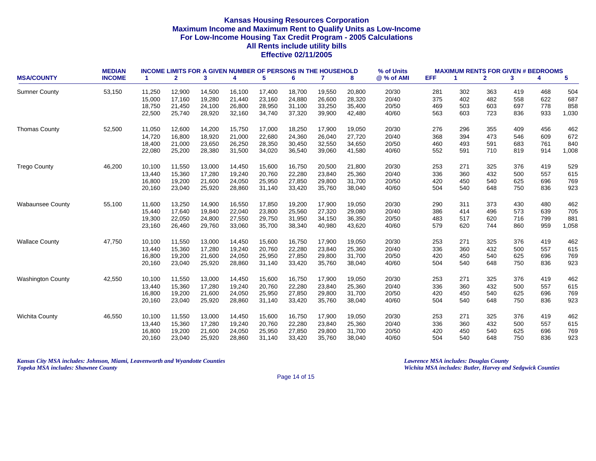| <b>MSA/COUNTY</b>        | <b>MEDIAN</b><br><b>INCOME</b> |        | <b>INCOME LIMITS FOR A GIVEN NUMBER OF PERSONS IN THE HOUSEHOLD</b><br>$\mathbf{2}$<br>3<br>5<br>6<br>$\mathbf{7}$<br>4<br>8<br>-1. |        |        |        |        |        |        |            | <b>MAXIMUM RENTS FOR GIVEN # BEDROOMS</b><br><b>EFF</b><br>5<br>$\mathbf{2}$<br>3<br>4<br>-1 |     |     |     |     |       |
|--------------------------|--------------------------------|--------|-------------------------------------------------------------------------------------------------------------------------------------|--------|--------|--------|--------|--------|--------|------------|----------------------------------------------------------------------------------------------|-----|-----|-----|-----|-------|
|                          |                                |        |                                                                                                                                     |        |        |        |        |        |        | @ % of AMI |                                                                                              |     |     |     |     |       |
| <b>Sumner County</b>     | 53,150                         | 11,250 | 12,900                                                                                                                              | 14,500 | 16.100 | 17,400 | 18,700 | 19,550 | 20,800 | 20/30      | 281                                                                                          | 302 | 363 | 419 | 468 | 504   |
|                          |                                | 15,000 | 17,160                                                                                                                              | 19,280 | 21,440 | 23,160 | 24,880 | 26,600 | 28,320 | 20/40      | 375                                                                                          | 402 | 482 | 558 | 622 | 687   |
|                          |                                | 18,750 | 21,450                                                                                                                              | 24,100 | 26,800 | 28,950 | 31,100 | 33,250 | 35,400 | 20/50      | 469                                                                                          | 503 | 603 | 697 | 778 | 858   |
|                          |                                | 22,500 | 25,740                                                                                                                              | 28,920 | 32,160 | 34,740 | 37,320 | 39,900 | 42,480 | 40/60      | 563                                                                                          | 603 | 723 | 836 | 933 | 1,030 |
| <b>Thomas County</b>     | 52,500                         | 11,050 | 12,600                                                                                                                              | 14,200 | 15,750 | 17,000 | 18,250 | 17,900 | 19,050 | 20/30      | 276                                                                                          | 296 | 355 | 409 | 456 | 462   |
|                          |                                | 14,720 | 16,800                                                                                                                              | 18,920 | 21,000 | 22,680 | 24,360 | 26,040 | 27,720 | 20/40      | 368                                                                                          | 394 | 473 | 546 | 609 | 672   |
|                          |                                | 18,400 | 21,000                                                                                                                              | 23,650 | 26,250 | 28,350 | 30,450 | 32,550 | 34,650 | 20/50      | 460                                                                                          | 493 | 591 | 683 | 761 | 840   |
|                          |                                | 22,080 | 25,200                                                                                                                              | 28,380 | 31,500 | 34,020 | 36,540 | 39,060 | 41,580 | 40/60      | 552                                                                                          | 591 | 710 | 819 | 914 | 1,008 |
| <b>Trego County</b>      | 46,200                         | 10,100 | 11,550                                                                                                                              | 13,000 | 14,450 | 15,600 | 16,750 | 20,500 | 21,800 | 20/30      | 253                                                                                          | 271 | 325 | 376 | 419 | 529   |
|                          |                                | 13,440 | 15,360                                                                                                                              | 17,280 | 19,240 | 20,760 | 22,280 | 23,840 | 25,360 | 20/40      | 336                                                                                          | 360 | 432 | 500 | 557 | 615   |
|                          |                                | 16,800 | 19,200                                                                                                                              | 21,600 | 24,050 | 25,950 | 27,850 | 29,800 | 31,700 | 20/50      | 420                                                                                          | 450 | 540 | 625 | 696 | 769   |
|                          |                                | 20,160 | 23,040                                                                                                                              | 25,920 | 28,860 | 31,140 | 33,420 | 35,760 | 38,040 | 40/60      | 504                                                                                          | 540 | 648 | 750 | 836 | 923   |
| <b>Wabaunsee County</b>  | 55,100                         | 11,600 | 13,250                                                                                                                              | 14,900 | 16,550 | 17,850 | 19,200 | 17,900 | 19,050 | 20/30      | 290                                                                                          | 311 | 373 | 430 | 480 | 462   |
|                          |                                | 15,440 | 17,640                                                                                                                              | 19,840 | 22,040 | 23,800 | 25,560 | 27,320 | 29,080 | 20/40      | 386                                                                                          | 414 | 496 | 573 | 639 | 705   |
|                          |                                | 19,300 | 22,050                                                                                                                              | 24,800 | 27,550 | 29,750 | 31,950 | 34,150 | 36,350 | 20/50      | 483                                                                                          | 517 | 620 | 716 | 799 | 881   |
|                          |                                | 23,160 | 26,460                                                                                                                              | 29,760 | 33,060 | 35,700 | 38,340 | 40,980 | 43,620 | 40/60      | 579                                                                                          | 620 | 744 | 860 | 959 | 1,058 |
| <b>Wallace County</b>    | 47,750                         | 10,100 | 11,550                                                                                                                              | 13,000 | 14,450 | 15,600 | 16,750 | 17,900 | 19,050 | 20/30      | 253                                                                                          | 271 | 325 | 376 | 419 | 462   |
|                          |                                | 13,440 | 15,360                                                                                                                              | 17,280 | 19,240 | 20,760 | 22,280 | 23,840 | 25,360 | 20/40      | 336                                                                                          | 360 | 432 | 500 | 557 | 615   |
|                          |                                | 16,800 | 19,200                                                                                                                              | 21,600 | 24,050 | 25,950 | 27,850 | 29,800 | 31,700 | 20/50      | 420                                                                                          | 450 | 540 | 625 | 696 | 769   |
|                          |                                | 20,160 | 23,040                                                                                                                              | 25,920 | 28,860 | 31,140 | 33,420 | 35,760 | 38,040 | 40/60      | 504                                                                                          | 540 | 648 | 750 | 836 | 923   |
| <b>Washington County</b> | 42,550                         | 10,100 | 11,550                                                                                                                              | 13,000 | 14,450 | 15,600 | 16,750 | 17,900 | 19,050 | 20/30      | 253                                                                                          | 271 | 325 | 376 | 419 | 462   |
|                          |                                | 13,440 | 15,360                                                                                                                              | 17,280 | 19,240 | 20,760 | 22,280 | 23,840 | 25,360 | 20/40      | 336                                                                                          | 360 | 432 | 500 | 557 | 615   |
|                          |                                | 16,800 | 19,200                                                                                                                              | 21,600 | 24,050 | 25,950 | 27,850 | 29,800 | 31,700 | 20/50      | 420                                                                                          | 450 | 540 | 625 | 696 | 769   |
|                          |                                | 20,160 | 23,040                                                                                                                              | 25,920 | 28,860 | 31,140 | 33,420 | 35,760 | 38,040 | 40/60      | 504                                                                                          | 540 | 648 | 750 | 836 | 923   |
| <b>Wichita County</b>    | 46,550                         | 10,100 | 11,550                                                                                                                              | 13,000 | 14,450 | 15,600 | 16,750 | 17,900 | 19,050 | 20/30      | 253                                                                                          | 271 | 325 | 376 | 419 | 462   |
|                          |                                | 13,440 | 15,360                                                                                                                              | 17,280 | 19,240 | 20,760 | 22,280 | 23,840 | 25,360 | 20/40      | 336                                                                                          | 360 | 432 | 500 | 557 | 615   |
|                          |                                | 16,800 | 19,200                                                                                                                              | 21,600 | 24,050 | 25,950 | 27,850 | 29,800 | 31,700 | 20/50      | 420                                                                                          | 450 | 540 | 625 | 696 | 769   |
|                          |                                | 20,160 | 23,040                                                                                                                              | 25,920 | 28,860 | 31,140 | 33,420 | 35,760 | 38,040 | 40/60      | 504                                                                                          | 540 | 648 | 750 | 836 | 923   |

*Kansas City MSA includes: Johnson, Miami, Leavenworth and Wyandotte Counties Lawrence MSA includes: Douglas County Topeka MSA includes: Shawnee County Wichita MSA includes: Butler, Harvey and Sedgwick Counties*

Page 14 of 15